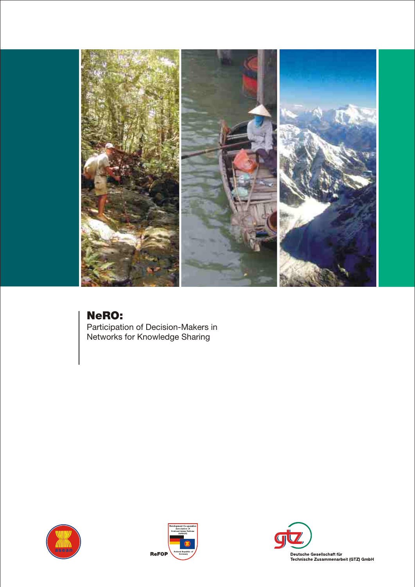

# NeRO:

Participation of Decision-Makers in Networks for Knowledge Sharing





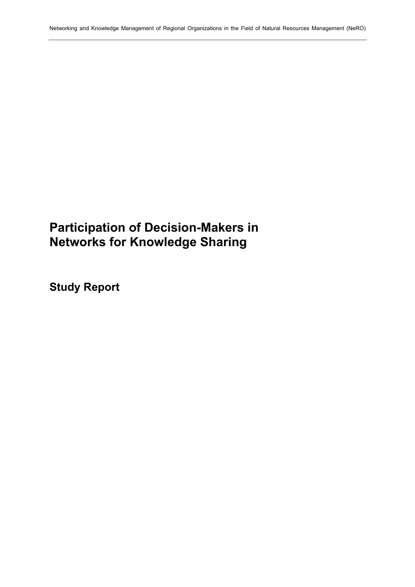# **Participation of Decision-Makers in Networks for Knowledge Sharing**

**Study Report**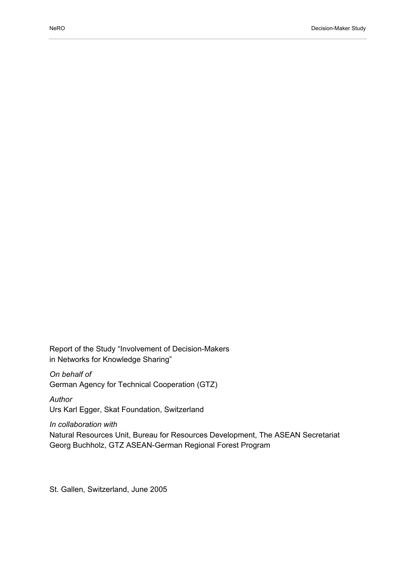Report of the Study "Involvement of Decision-Makers in Networks for Knowledge Sharing"

*On behalf of*  German Agency for Technical Cooperation (GTZ)

*Author*  Urs Karl Egger, Skat Foundation, Switzerland

*In collaboration with*  Natural Resources Unit, Bureau for Resources Development, The ASEAN Secretariat Georg Buchholz, GTZ ASEAN-German Regional Forest Program

St. Gallen, Switzerland, June 2005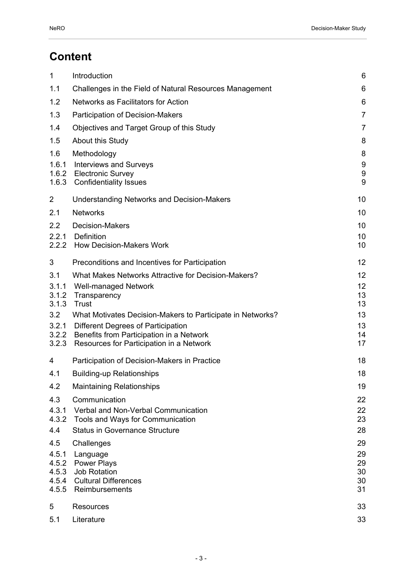# **Content**

| $\mathbf{1}$            | Introduction                                                                               | 6                          |
|-------------------------|--------------------------------------------------------------------------------------------|----------------------------|
| 1.1                     | Challenges in the Field of Natural Resources Management                                    | 6                          |
| 1.2                     | Networks as Facilitators for Action                                                        | 6                          |
| 1.3                     | Participation of Decision-Makers                                                           | $\overline{7}$             |
| 1.4                     | Objectives and Target Group of this Study                                                  | $\overline{7}$             |
| 1.5                     | About this Study                                                                           | 8                          |
| 1.6                     | Methodology                                                                                | 8                          |
| 1.6.1<br>1.6.2<br>1.6.3 | <b>Interviews and Surveys</b><br><b>Electronic Survey</b><br><b>Confidentiality Issues</b> | 9<br>$\boldsymbol{9}$<br>9 |
| 2                       | <b>Understanding Networks and Decision-Makers</b>                                          | 10                         |
| 2.1                     | <b>Networks</b>                                                                            | 10                         |
| 2.2                     | <b>Decision-Makers</b>                                                                     | 10                         |
| 2.2.1<br>2.2.2          | Definition<br><b>How Decision-Makers Work</b>                                              | 10<br>10                   |
| 3                       | Preconditions and Incentives for Participation                                             | 12                         |
| 3.1                     | What Makes Networks Attractive for Decision-Makers?                                        | 12                         |
| 3.1.1<br>3.1.2          | <b>Well-managed Network</b>                                                                | 12<br>13                   |
| 3.1.3                   | Transparency<br>Trust                                                                      | 13                         |
| 3.2                     | What Motivates Decision-Makers to Participate in Networks?                                 | 13                         |
| 3.2.1                   | Different Degrees of Participation                                                         | 13                         |
| 3.2.2<br>3.2.3          | Benefits from Participation in a Network<br>Resources for Participation in a Network       | 14<br>17                   |
| 4                       | Participation of Decision-Makers in Practice                                               | 18                         |
| 4.1                     | <b>Building-up Relationships</b>                                                           | 18                         |
| 4.2                     | Maintaining Relationships                                                                  | 19                         |
| 4.3                     | Communication                                                                              | 22                         |
| 4.3.1                   | Verbal and Non-Verbal Communication                                                        | 22                         |
| 4.3.2<br>4.4            | Tools and Ways for Communication<br><b>Status in Governance Structure</b>                  | 23<br>28                   |
| 4.5                     | Challenges                                                                                 | 29                         |
| 4.5.1                   | Language                                                                                   | 29                         |
| 4.5.2                   | <b>Power Plays</b>                                                                         | 29                         |
| 4.5.3<br>4.5.4          | <b>Job Rotation</b><br><b>Cultural Differences</b>                                         | 30<br>30                   |
| 4.5.5                   | Reimbursements                                                                             | 31                         |
| 5                       | <b>Resources</b>                                                                           | 33                         |
| 5.1                     | Literature                                                                                 | 33                         |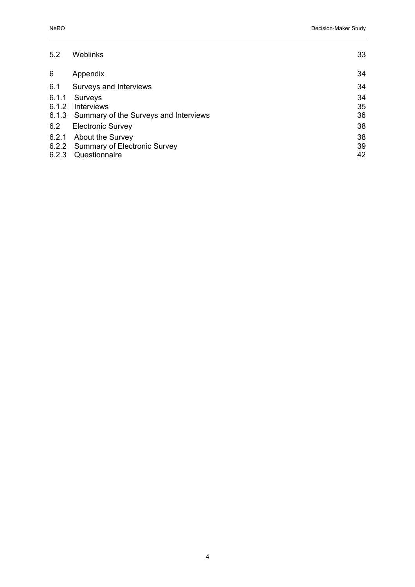| 5.2   | Weblinks                                    | 33 |
|-------|---------------------------------------------|----|
| 6     | Appendix                                    | 34 |
| 6.1   | Surveys and Interviews                      | 34 |
| 6.1.1 | Surveys                                     | 34 |
| 6.1.2 | <b>Interviews</b>                           | 35 |
|       | 6.1.3 Summary of the Surveys and Interviews | 36 |
| 6.2   | <b>Electronic Survey</b>                    | 38 |
| 6.2.1 | About the Survey                            | 38 |
|       | 6.2.2 Summary of Electronic Survey          | 39 |
| 6.2.3 | Questionnaire                               | 42 |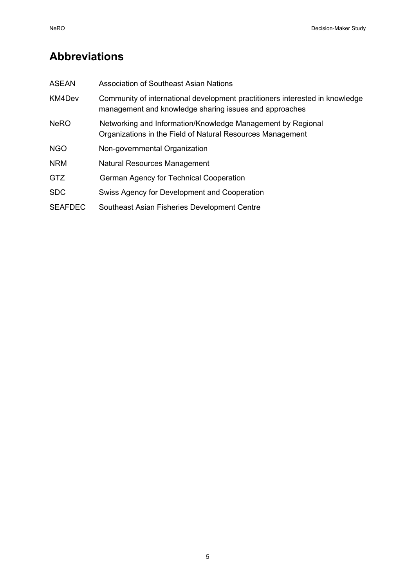# **Abbreviations**

| <b>ASEAN</b>   | Association of Southeast Asian Nations                                                                                                 |
|----------------|----------------------------------------------------------------------------------------------------------------------------------------|
| KM4Dev         | Community of international development practitioners interested in knowledge<br>management and knowledge sharing issues and approaches |
| <b>NeRO</b>    | Networking and Information/Knowledge Management by Regional<br>Organizations in the Field of Natural Resources Management              |
| <b>NGO</b>     | Non-governmental Organization                                                                                                          |
| <b>NRM</b>     | <b>Natural Resources Management</b>                                                                                                    |
| GTZ            | German Agency for Technical Cooperation                                                                                                |
| <b>SDC</b>     | Swiss Agency for Development and Cooperation                                                                                           |
| <b>SEAFDEC</b> | Southeast Asian Fisheries Development Centre                                                                                           |
|                |                                                                                                                                        |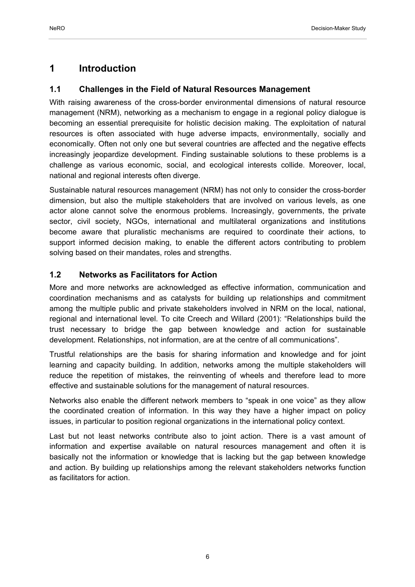## **1 Introduction**

## **1.1 Challenges in the Field of Natural Resources Management**

With raising awareness of the cross-border environmental dimensions of natural resource management (NRM), networking as a mechanism to engage in a regional policy dialogue is becoming an essential prerequisite for holistic decision making. The exploitation of natural resources is often associated with huge adverse impacts, environmentally, socially and economically. Often not only one but several countries are affected and the negative effects increasingly jeopardize development. Finding sustainable solutions to these problems is a challenge as various economic, social, and ecological interests collide. Moreover, local, national and regional interests often diverge.

Sustainable natural resources management (NRM) has not only to consider the cross-border dimension, but also the multiple stakeholders that are involved on various levels, as one actor alone cannot solve the enormous problems. Increasingly, governments, the private sector, civil society, NGOs, international and multilateral organizations and institutions become aware that pluralistic mechanisms are required to coordinate their actions, to support informed decision making, to enable the different actors contributing to problem solving based on their mandates, roles and strengths.

## **1.2 Networks as Facilitators for Action**

More and more networks are acknowledged as effective information, communication and coordination mechanisms and as catalysts for building up relationships and commitment among the multiple public and private stakeholders involved in NRM on the local, national, regional and international level. To cite Creech and Willard (2001): "Relationships build the trust necessary to bridge the gap between knowledge and action for sustainable development. Relationships, not information, are at the centre of all communications".

Trustful relationships are the basis for sharing information and knowledge and for joint learning and capacity building. In addition, networks among the multiple stakeholders will reduce the repetition of mistakes, the reinventing of wheels and therefore lead to more effective and sustainable solutions for the management of natural resources.

Networks also enable the different network members to "speak in one voice" as they allow the coordinated creation of information. In this way they have a higher impact on policy issues, in particular to position regional organizations in the international policy context.

Last but not least networks contribute also to joint action. There is a vast amount of information and expertise available on natural resources management and often it is basically not the information or knowledge that is lacking but the gap between knowledge and action. By building up relationships among the relevant stakeholders networks function as facilitators for action.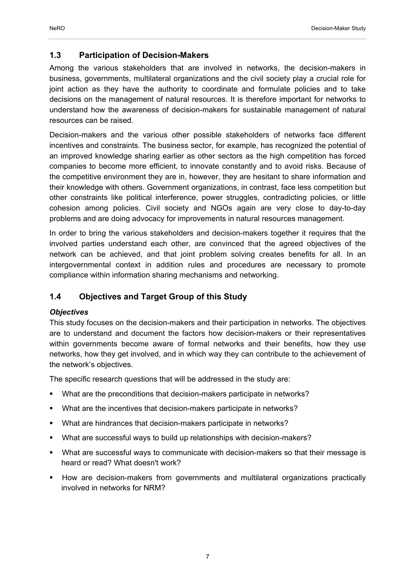#### **1.3 Participation of Decision-Makers**

Among the various stakeholders that are involved in networks, the decision-makers in business, governments, multilateral organizations and the civil society play a crucial role for joint action as they have the authority to coordinate and formulate policies and to take decisions on the management of natural resources. It is therefore important for networks to understand how the awareness of decision-makers for sustainable management of natural resources can be raised.

Decision-makers and the various other possible stakeholders of networks face different incentives and constraints. The business sector, for example, has recognized the potential of an improved knowledge sharing earlier as other sectors as the high competition has forced companies to become more efficient, to innovate constantly and to avoid risks. Because of the competitive environment they are in, however, they are hesitant to share information and their knowledge with others. Government organizations, in contrast, face less competition but other constraints like political interference, power struggles, contradicting policies, or little cohesion among policies. Civil society and NGOs again are very close to day-to-day problems and are doing advocacy for improvements in natural resources management.

In order to bring the various stakeholders and decision-makers together it requires that the involved parties understand each other, are convinced that the agreed objectives of the network can be achieved, and that joint problem solving creates benefits for all. In an intergovernmental context in addition rules and procedures are necessary to promote compliance within information sharing mechanisms and networking.

## **1.4 Objectives and Target Group of this Study**

#### *Objectives*

This study focuses on the decision-makers and their participation in networks. The objectives are to understand and document the factors how decision-makers or their representatives within governments become aware of formal networks and their benefits, how they use networks, how they get involved, and in which way they can contribute to the achievement of the network's objectives.

The specific research questions that will be addressed in the study are:

- What are the preconditions that decision-makers participate in networks?
- What are the incentives that decision-makers participate in networks?
- What are hindrances that decision-makers participate in networks?
- What are successful ways to build up relationships with decision-makers?
- What are successful ways to communicate with decision-makers so that their message is heard or read? What doesn't work?
- How are decision-makers from governments and multilateral organizations practically involved in networks for NRM?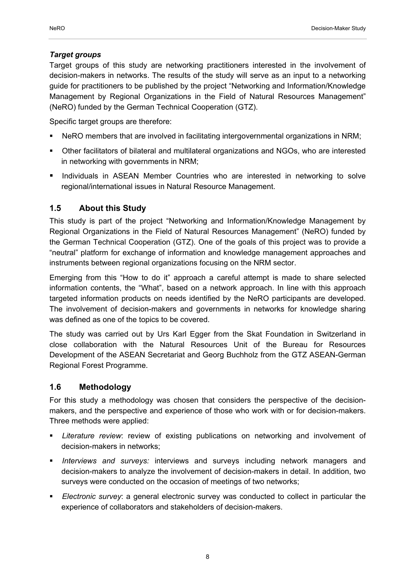## *Target groups*

Target groups of this study are networking practitioners interested in the involvement of decision-makers in networks. The results of the study will serve as an input to a networking guide for practitioners to be published by the project "Networking and Information/Knowledge Management by Regional Organizations in the Field of Natural Resources Management" (NeRO) funded by the German Technical Cooperation (GTZ).

Specific target groups are therefore:

- NeRO members that are involved in facilitating intergovernmental organizations in NRM;
- Other facilitators of bilateral and multilateral organizations and NGOs, who are interested in networking with governments in NRM;
- **Individuals in ASEAN Member Countries who are interested in networking to solve** regional/international issues in Natural Resource Management.

## **1.5 About this Study**

This study is part of the project "Networking and Information/Knowledge Management by Regional Organizations in the Field of Natural Resources Management" (NeRO) funded by the German Technical Cooperation (GTZ). One of the goals of this project was to provide a "neutral" platform for exchange of information and knowledge management approaches and instruments between regional organizations focusing on the NRM sector.

Emerging from this "How to do it" approach a careful attempt is made to share selected information contents, the "What", based on a network approach. In line with this approach targeted information products on needs identified by the NeRO participants are developed. The involvement of decision-makers and governments in networks for knowledge sharing was defined as one of the topics to be covered.

The study was carried out by Urs Karl Egger from the Skat Foundation in Switzerland in close collaboration with the Natural Resources Unit of the Bureau for Resources Development of the ASEAN Secretariat and Georg Buchholz from the GTZ ASEAN-German Regional Forest Programme.

## **1.6 Methodology**

For this study a methodology was chosen that considers the perspective of the decisionmakers, and the perspective and experience of those who work with or for decision-makers. Three methods were applied:

- *Literature review*: review of existing publications on networking and involvement of decision-makers in networks;
- *Interviews and surveys:* interviews and surveys including network managers and decision-makers to analyze the involvement of decision-makers in detail. In addition, two surveys were conducted on the occasion of meetings of two networks;
- *Electronic survey*: a general electronic survey was conducted to collect in particular the experience of collaborators and stakeholders of decision-makers.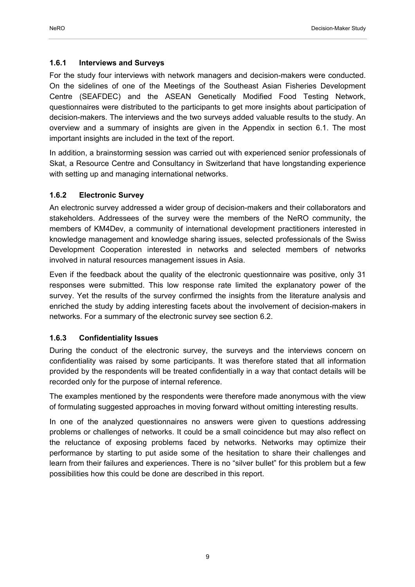#### **1.6.1 Interviews and Surveys**

For the study four interviews with network managers and decision-makers were conducted. On the sidelines of one of the Meetings of the Southeast Asian Fisheries Development Centre (SEAFDEC) and the ASEAN Genetically Modified Food Testing Network, questionnaires were distributed to the participants to get more insights about participation of decision-makers. The interviews and the two surveys added valuable results to the study. An overview and a summary of insights are given in the Appendix in section 6.1. The most important insights are included in the text of the report.

In addition, a brainstorming session was carried out with experienced senior professionals of Skat, a Resource Centre and Consultancy in Switzerland that have longstanding experience with setting up and managing international networks.

#### **1.6.2 Electronic Survey**

An electronic survey addressed a wider group of decision-makers and their collaborators and stakeholders. Addressees of the survey were the members of the NeRO community, the members of KM4Dev, a community of international development practitioners interested in knowledge management and knowledge sharing issues, selected professionals of the Swiss Development Cooperation interested in networks and selected members of networks involved in natural resources management issues in Asia.

Even if the feedback about the quality of the electronic questionnaire was positive, only 31 responses were submitted. This low response rate limited the explanatory power of the survey. Yet the results of the survey confirmed the insights from the literature analysis and enriched the study by adding interesting facets about the involvement of decision-makers in networks. For a summary of the electronic survey see section 6.2.

#### **1.6.3 Confidentiality Issues**

During the conduct of the electronic survey, the surveys and the interviews concern on confidentiality was raised by some participants. It was therefore stated that all information provided by the respondents will be treated confidentially in a way that contact details will be recorded only for the purpose of internal reference.

The examples mentioned by the respondents were therefore made anonymous with the view of formulating suggested approaches in moving forward without omitting interesting results.

In one of the analyzed questionnaires no answers were given to questions addressing problems or challenges of networks. It could be a small coincidence but may also reflect on the reluctance of exposing problems faced by networks. Networks may optimize their performance by starting to put aside some of the hesitation to share their challenges and learn from their failures and experiences. There is no "silver bullet" for this problem but a few possibilities how this could be done are described in this report.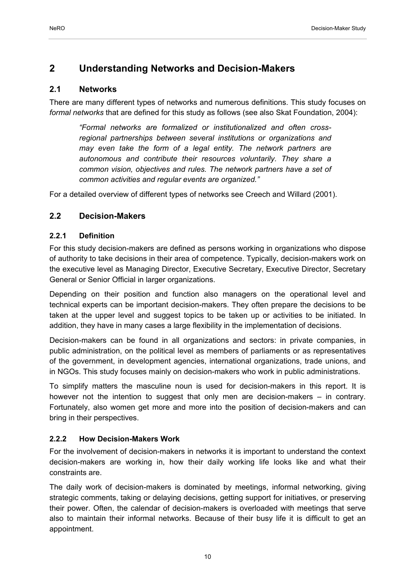## **2 Understanding Networks and Decision-Makers**

## **2.1 Networks**

There are many different types of networks and numerous definitions. This study focuses on *formal networks* that are defined for this study as follows (see also Skat Foundation, 2004):

*"Formal networks are formalized or institutionalized and often crossregional partnerships between several institutions or organizations and may even take the form of a legal entity. The network partners are autonomous and contribute their resources voluntarily. They share a common vision, objectives and rules. The network partners have a set of common activities and regular events are organized."* 

For a detailed overview of different types of networks see Creech and Willard (2001).

## **2.2 Decision-Makers**

## **2.2.1 Definition**

For this study decision-makers are defined as persons working in organizations who dispose of authority to take decisions in their area of competence. Typically, decision-makers work on the executive level as Managing Director, Executive Secretary, Executive Director, Secretary General or Senior Official in larger organizations.

Depending on their position and function also managers on the operational level and technical experts can be important decision-makers. They often prepare the decisions to be taken at the upper level and suggest topics to be taken up or activities to be initiated. In addition, they have in many cases a large flexibility in the implementation of decisions.

Decision-makers can be found in all organizations and sectors: in private companies, in public administration, on the political level as members of parliaments or as representatives of the government, in development agencies, international organizations, trade unions, and in NGOs. This study focuses mainly on decision-makers who work in public administrations.

To simplify matters the masculine noun is used for decision-makers in this report. It is however not the intention to suggest that only men are decision-makers – in contrary. Fortunately, also women get more and more into the position of decision-makers and can bring in their perspectives.

## **2.2.2 How Decision-Makers Work**

For the involvement of decision-makers in networks it is important to understand the context decision-makers are working in, how their daily working life looks like and what their constraints are.

The daily work of decision-makers is dominated by meetings, informal networking, giving strategic comments, taking or delaying decisions, getting support for initiatives, or preserving their power. Often, the calendar of decision-makers is overloaded with meetings that serve also to maintain their informal networks. Because of their busy life it is difficult to get an appointment.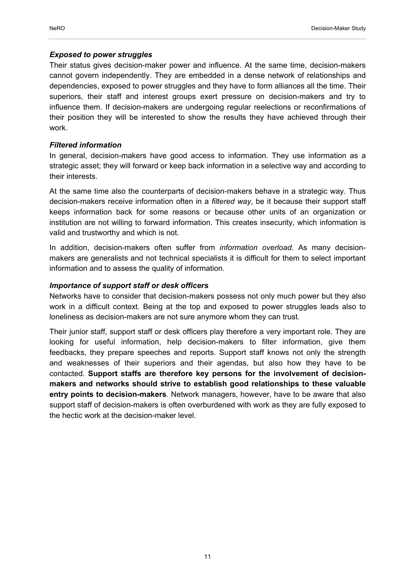### *Exposed to power struggles*

Their status gives decision-maker power and influence. At the same time, decision-makers cannot govern independently. They are embedded in a dense network of relationships and dependencies, exposed to power struggles and they have to form alliances all the time. Their superiors, their staff and interest groups exert pressure on decision-makers and try to influence them. If decision-makers are undergoing regular reelections or reconfirmations of their position they will be interested to show the results they have achieved through their work.

## *Filtered information*

In general, decision-makers have good access to information. They use information as a strategic asset; they will forward or keep back information in a selective way and according to their interests.

At the same time also the counterparts of decision-makers behave in a strategic way. Thus decision-makers receive information often in a *filtered way*, be it because their support staff keeps information back for some reasons or because other units of an organization or institution are not willing to forward information. This creates insecurity, which information is valid and trustworthy and which is not.

In addition, decision-makers often suffer from *information overload*. As many decisionmakers are generalists and not technical specialists it is difficult for them to select important information and to assess the quality of information.

### *Importance of support staff or desk officers*

Networks have to consider that decision-makers possess not only much power but they also work in a difficult context. Being at the top and exposed to power struggles leads also to loneliness as decision-makers are not sure anymore whom they can trust.

Their junior staff, support staff or desk officers play therefore a very important role. They are looking for useful information, help decision-makers to filter information, give them feedbacks, they prepare speeches and reports. Support staff knows not only the strength and weaknesses of their superiors and their agendas, but also how they have to be contacted. **Support staffs are therefore key persons for the involvement of decisionmakers and networks should strive to establish good relationships to these valuable entry points to decision-makers**. Network managers, however, have to be aware that also support staff of decision-makers is often overburdened with work as they are fully exposed to the hectic work at the decision-maker level.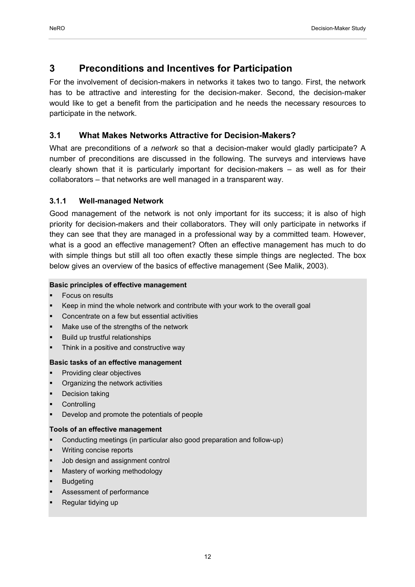## **3 Preconditions and Incentives for Participation**

For the involvement of decision-makers in networks it takes two to tango. First, the network has to be attractive and interesting for the decision-maker. Second, the decision-maker would like to get a benefit from the participation and he needs the necessary resources to participate in the network.

## **3.1 What Makes Networks Attractive for Decision-Makers?**

What are preconditions of a *network* so that a decision-maker would gladly participate? A number of preconditions are discussed in the following. The surveys and interviews have clearly shown that it is particularly important for decision-makers – as well as for their collaborators – that networks are well managed in a transparent way.

## **3.1.1 Well-managed Network**

Good management of the network is not only important for its success; it is also of high priority for decision-makers and their collaborators. They will only participate in networks if they can see that they are managed in a professional way by a committed team. However, what is a good an effective management? Often an effective management has much to do with simple things but still all too often exactly these simple things are neglected. The box below gives an overview of the basics of effective management (See Malik, 2003).

#### **Basic principles of effective management**

- Focus on results
- Keep in mind the whole network and contribute with your work to the overall goal
- Concentrate on a few but essential activities
- Make use of the strengths of the network
- Build up trustful relationships
- Think in a positive and constructive way

#### **Basic tasks of an effective management**

- Providing clear objectives
- Organizing the network activities
- Decision taking
- **Controlling**
- Develop and promote the potentials of people

#### **Tools of an effective management**

- Conducting meetings (in particular also good preparation and follow-up)
- Writing concise reports
- Job design and assignment control
- Mastery of working methodology
- **Budgeting**
- Assessment of performance
- Regular tidying up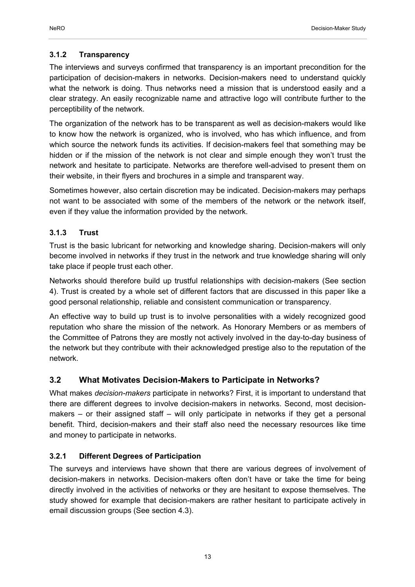The interviews and surveys confirmed that transparency is an important precondition for the participation of decision-makers in networks. Decision-makers need to understand quickly what the network is doing. Thus networks need a mission that is understood easily and a clear strategy. An easily recognizable name and attractive logo will contribute further to the perceptibility of the network.

The organization of the network has to be transparent as well as decision-makers would like to know how the network is organized, who is involved, who has which influence, and from which source the network funds its activities. If decision-makers feel that something may be hidden or if the mission of the network is not clear and simple enough they won't trust the network and hesitate to participate. Networks are therefore well-advised to present them on their website, in their flyers and brochures in a simple and transparent way.

Sometimes however, also certain discretion may be indicated. Decision-makers may perhaps not want to be associated with some of the members of the network or the network itself, even if they value the information provided by the network.

## **3.1.3 Trust**

Trust is the basic lubricant for networking and knowledge sharing. Decision-makers will only become involved in networks if they trust in the network and true knowledge sharing will only take place if people trust each other.

Networks should therefore build up trustful relationships with decision-makers (See section 4). Trust is created by a whole set of different factors that are discussed in this paper like a good personal relationship, reliable and consistent communication or transparency.

An effective way to build up trust is to involve personalities with a widely recognized good reputation who share the mission of the network. As Honorary Members or as members of the Committee of Patrons they are mostly not actively involved in the day-to-day business of the network but they contribute with their acknowledged prestige also to the reputation of the network.

## **3.2 What Motivates Decision-Makers to Participate in Networks?**

What makes *decision-makers* participate in networks? First, it is important to understand that there are different degrees to involve decision-makers in networks. Second, most decisionmakers – or their assigned staff – will only participate in networks if they get a personal benefit. Third, decision-makers and their staff also need the necessary resources like time and money to participate in networks.

## **3.2.1 Different Degrees of Participation**

The surveys and interviews have shown that there are various degrees of involvement of decision-makers in networks. Decision-makers often don't have or take the time for being directly involved in the activities of networks or they are hesitant to expose themselves. The study showed for example that decision-makers are rather hesitant to participate actively in email discussion groups (See section 4.3).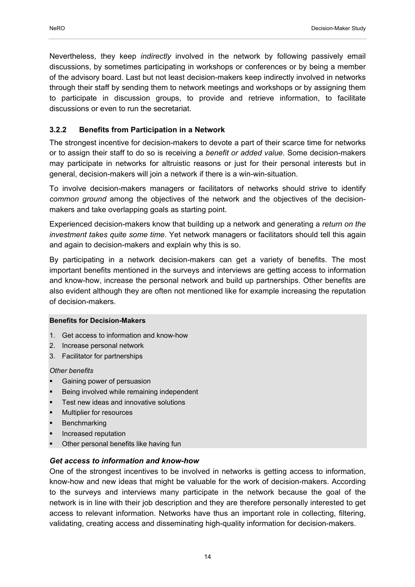Nevertheless, they keep *indirectly* involved in the network by following passively email discussions, by sometimes participating in workshops or conferences or by being a member of the advisory board. Last but not least decision-makers keep indirectly involved in networks through their staff by sending them to network meetings and workshops or by assigning them to participate in discussion groups, to provide and retrieve information, to facilitate discussions or even to run the secretariat.

## **3.2.2 Benefits from Participation in a Network**

The strongest incentive for decision-makers to devote a part of their scarce time for networks or to assign their staff to do so is receiving a *benefit or added value*. Some decision-makers may participate in networks for altruistic reasons or just for their personal interests but in general, decision-makers will join a network if there is a win-win-situation.

To involve decision-makers managers or facilitators of networks should strive to identify *common ground* among the objectives of the network and the objectives of the decisionmakers and take overlapping goals as starting point.

Experienced decision-makers know that building up a network and generating a *return on the investment takes quite some time*. Yet network managers or facilitators should tell this again and again to decision-makers and explain why this is so.

By participating in a network decision-makers can get a variety of benefits. The most important benefits mentioned in the surveys and interviews are getting access to information and know-how, increase the personal network and build up partnerships. Other benefits are also evident although they are often not mentioned like for example increasing the reputation of decision-makers.

#### **Benefits for Decision-Makers**

- 1. Get access to information and know-how
- 2. Increase personal network
- 3. Facilitator for partnerships

#### *Other benefits*

- Gaining power of persuasion
- Being involved while remaining independent
- Test new ideas and innovative solutions
- Multiplier for resources
- Benchmarking
- Increased reputation
- Other personal benefits like having fun

## *Get access to information and know-how*

One of the strongest incentives to be involved in networks is getting access to information, know-how and new ideas that might be valuable for the work of decision-makers. According to the surveys and interviews many participate in the network because the goal of the network is in line with their job description and they are therefore personally interested to get access to relevant information. Networks have thus an important role in collecting, filtering, validating, creating access and disseminating high-quality information for decision-makers.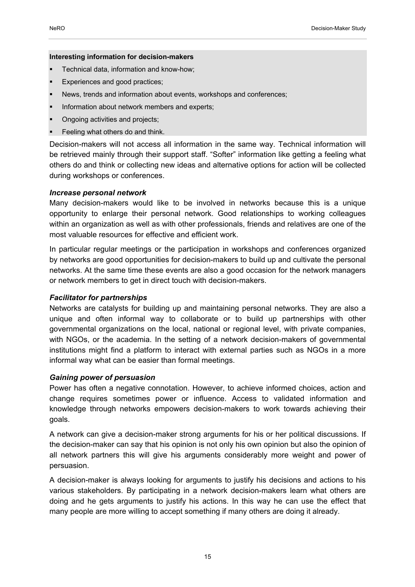#### **Interesting information for decision-makers**

- Technical data, information and know-how;
- Experiences and good practices;
- News, trends and information about events, workshops and conferences;
- Information about network members and experts;
- Ongoing activities and projects;
- **Feeling what others do and think.**

Decision-makers will not access all information in the same way. Technical information will be retrieved mainly through their support staff. "Softer" information like getting a feeling what others do and think or collecting new ideas and alternative options for action will be collected during workshops or conferences.

#### *Increase personal network*

Many decision-makers would like to be involved in networks because this is a unique opportunity to enlarge their personal network. Good relationships to working colleagues within an organization as well as with other professionals, friends and relatives are one of the most valuable resources for effective and efficient work.

In particular regular meetings or the participation in workshops and conferences organized by networks are good opportunities for decision-makers to build up and cultivate the personal networks. At the same time these events are also a good occasion for the network managers or network members to get in direct touch with decision-makers.

#### *Facilitator for partnerships*

Networks are catalysts for building up and maintaining personal networks. They are also a unique and often informal way to collaborate or to build up partnerships with other governmental organizations on the local, national or regional level, with private companies, with NGOs, or the academia. In the setting of a network decision-makers of governmental institutions might find a platform to interact with external parties such as NGOs in a more informal way what can be easier than formal meetings.

#### *Gaining power of persuasion*

Power has often a negative connotation. However, to achieve informed choices, action and change requires sometimes power or influence. Access to validated information and knowledge through networks empowers decision-makers to work towards achieving their goals.

A network can give a decision-maker strong arguments for his or her political discussions. If the decision-maker can say that his opinion is not only his own opinion but also the opinion of all network partners this will give his arguments considerably more weight and power of persuasion.

A decision-maker is always looking for arguments to justify his decisions and actions to his various stakeholders. By participating in a network decision-makers learn what others are doing and he gets arguments to justify his actions. In this way he can use the effect that many people are more willing to accept something if many others are doing it already.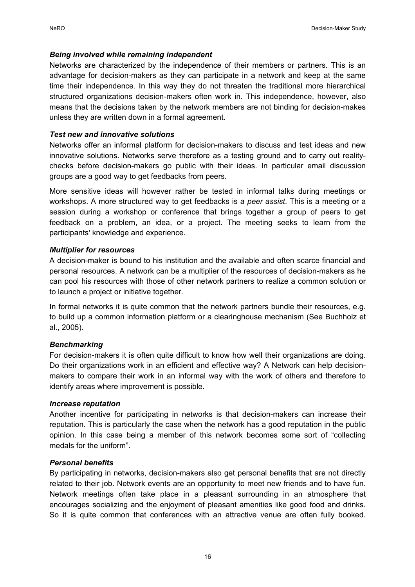#### *Being involved while remaining independent*

Networks are characterized by the independence of their members or partners. This is an advantage for decision-makers as they can participate in a network and keep at the same time their independence. In this way they do not threaten the traditional more hierarchical structured organizations decision-makers often work in. This independence, however, also means that the decisions taken by the network members are not binding for decision-makes unless they are written down in a formal agreement.

#### *Test new and innovative solutions*

Networks offer an informal platform for decision-makers to discuss and test ideas and new innovative solutions. Networks serve therefore as a testing ground and to carry out realitychecks before decision-makers go public with their ideas. In particular email discussion groups are a good way to get feedbacks from peers.

More sensitive ideas will however rather be tested in informal talks during meetings or workshops. A more structured way to get feedbacks is a *peer assist*. This is a meeting or a session during a workshop or conference that brings together a group of peers to get feedback on a problem, an idea, or a project. The meeting seeks to learn from the participants' knowledge and experience.

#### *Multiplier for resources*

A decision-maker is bound to his institution and the available and often scarce financial and personal resources. A network can be a multiplier of the resources of decision-makers as he can pool his resources with those of other network partners to realize a common solution or to launch a project or initiative together.

In formal networks it is quite common that the network partners bundle their resources, e.g. to build up a common information platform or a clearinghouse mechanism (See Buchholz et al., 2005).

#### *Benchmarking*

For decision-makers it is often quite difficult to know how well their organizations are doing. Do their organizations work in an efficient and effective way? A Network can help decisionmakers to compare their work in an informal way with the work of others and therefore to identify areas where improvement is possible.

#### *Increase reputation*

Another incentive for participating in networks is that decision-makers can increase their reputation. This is particularly the case when the network has a good reputation in the public opinion. In this case being a member of this network becomes some sort of "collecting medals for the uniform".

#### *Personal benefits*

By participating in networks, decision-makers also get personal benefits that are not directly related to their job. Network events are an opportunity to meet new friends and to have fun. Network meetings often take place in a pleasant surrounding in an atmosphere that encourages socializing and the enjoyment of pleasant amenities like good food and drinks. So it is quite common that conferences with an attractive venue are often fully booked.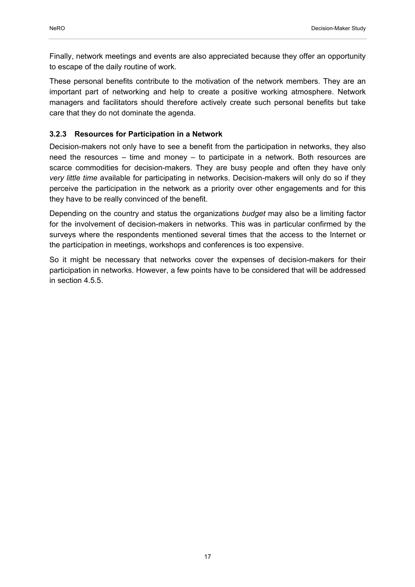Finally, network meetings and events are also appreciated because they offer an opportunity to escape of the daily routine of work.

These personal benefits contribute to the motivation of the network members. They are an important part of networking and help to create a positive working atmosphere. Network managers and facilitators should therefore actively create such personal benefits but take care that they do not dominate the agenda.

## **3.2.3 Resources for Participation in a Network**

Decision-makers not only have to see a benefit from the participation in networks, they also need the resources – time and money – to participate in a network. Both resources are scarce commodities for decision-makers. They are busy people and often they have only *very little time* available for participating in networks. Decision-makers will only do so if they perceive the participation in the network as a priority over other engagements and for this they have to be really convinced of the benefit.

Depending on the country and status the organizations *budget* may also be a limiting factor for the involvement of decision-makers in networks. This was in particular confirmed by the surveys where the respondents mentioned several times that the access to the Internet or the participation in meetings, workshops and conferences is too expensive.

So it might be necessary that networks cover the expenses of decision-makers for their participation in networks. However, a few points have to be considered that will be addressed in section 4.5.5.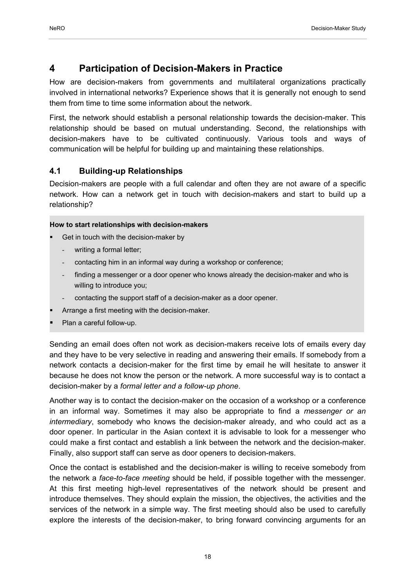## **4 Participation of Decision-Makers in Practice**

How are decision-makers from governments and multilateral organizations practically involved in international networks? Experience shows that it is generally not enough to send them from time to time some information about the network.

First, the network should establish a personal relationship towards the decision-maker. This relationship should be based on mutual understanding. Second, the relationships with decision-makers have to be cultivated continuously. Various tools and ways of communication will be helpful for building up and maintaining these relationships.

## **4.1 Building-up Relationships**

Decision-makers are people with a full calendar and often they are not aware of a specific network. How can a network get in touch with decision-makers and start to build up a relationship?

#### **How to start relationships with decision-makers**

- Get in touch with the decision-maker by
	- writing a formal letter:
	- contacting him in an informal way during a workshop or conference;
	- finding a messenger or a door opener who knows already the decision-maker and who is willing to introduce you;
	- contacting the support staff of a decision-maker as a door opener.
- Arrange a first meeting with the decision-maker.
- Plan a careful follow-up.

Sending an email does often not work as decision-makers receive lots of emails every day and they have to be very selective in reading and answering their emails. If somebody from a network contacts a decision-maker for the first time by email he will hesitate to answer it because he does not know the person or the network. A more successful way is to contact a decision-maker by a *formal letter and a follow-up phone*.

Another way is to contact the decision-maker on the occasion of a workshop or a conference in an informal way. Sometimes it may also be appropriate to find a *messenger or an intermediary*, somebody who knows the decision-maker already, and who could act as a door opener. In particular in the Asian context it is advisable to look for a messenger who could make a first contact and establish a link between the network and the decision-maker. Finally, also support staff can serve as door openers to decision-makers.

Once the contact is established and the decision-maker is willing to receive somebody from the network a *face-to-face meeting* should be held, if possible together with the messenger. At this first meeting high-level representatives of the network should be present and introduce themselves. They should explain the mission, the objectives, the activities and the services of the network in a simple way. The first meeting should also be used to carefully explore the interests of the decision-maker, to bring forward convincing arguments for an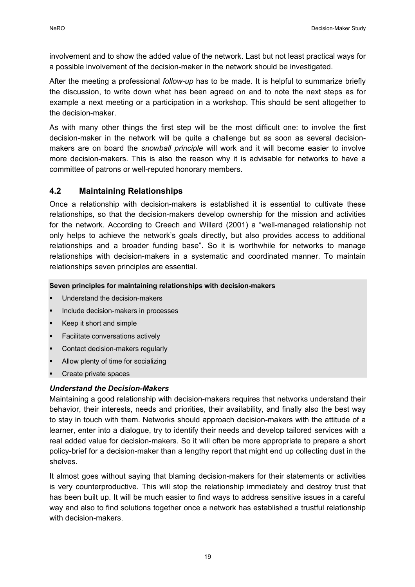involvement and to show the added value of the network. Last but not least practical ways for a possible involvement of the decision-maker in the network should be investigated.

After the meeting a professional *follow-up* has to be made. It is helpful to summarize briefly the discussion, to write down what has been agreed on and to note the next steps as for example a next meeting or a participation in a workshop. This should be sent altogether to the decision-maker.

As with many other things the first step will be the most difficult one: to involve the first decision-maker in the network will be quite a challenge but as soon as several decisionmakers are on board the *snowball principle* will work and it will become easier to involve more decision-makers. This is also the reason why it is advisable for networks to have a committee of patrons or well-reputed honorary members.

## **4.2 Maintaining Relationships**

Once a relationship with decision-makers is established it is essential to cultivate these relationships, so that the decision-makers develop ownership for the mission and activities for the network. According to Creech and Willard (2001) a "well-managed relationship not only helps to achieve the network's goals directly, but also provides access to additional relationships and a broader funding base". So it is worthwhile for networks to manage relationships with decision-makers in a systematic and coordinated manner. To maintain relationships seven principles are essential.

### **Seven principles for maintaining relationships with decision-makers**

- Understand the decision-makers
- Include decision-makers in processes
- Keep it short and simple
- Facilitate conversations actively
- Contact decision-makers regularly
- Allow plenty of time for socializing
- Create private spaces

## *Understand the Decision-Makers*

Maintaining a good relationship with decision-makers requires that networks understand their behavior, their interests, needs and priorities, their availability, and finally also the best way to stay in touch with them. Networks should approach decision-makers with the attitude of a learner, enter into a dialogue, try to identify their needs and develop tailored services with a real added value for decision-makers. So it will often be more appropriate to prepare a short policy-brief for a decision-maker than a lengthy report that might end up collecting dust in the shelves.

It almost goes without saying that blaming decision-makers for their statements or activities is very counterproductive. This will stop the relationship immediately and destroy trust that has been built up. It will be much easier to find ways to address sensitive issues in a careful way and also to find solutions together once a network has established a trustful relationship with decision-makers.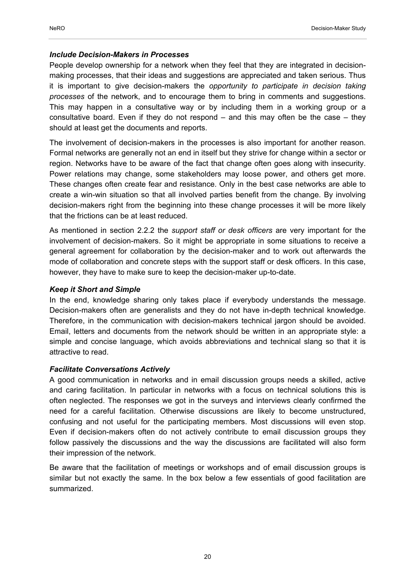#### *Include Decision-Makers in Processes*

People develop ownership for a network when they feel that they are integrated in decisionmaking processes, that their ideas and suggestions are appreciated and taken serious. Thus it is important to give decision-makers the *opportunity to participate in decision taking processes* of the network, and to encourage them to bring in comments and suggestions. This may happen in a consultative way or by including them in a working group or a consultative board. Even if they do not respond – and this may often be the case – they should at least get the documents and reports.

The involvement of decision-makers in the processes is also important for another reason. Formal networks are generally not an end in itself but they strive for change within a sector or region. Networks have to be aware of the fact that change often goes along with insecurity. Power relations may change, some stakeholders may loose power, and others get more. These changes often create fear and resistance. Only in the best case networks are able to create a win-win situation so that all involved parties benefit from the change. By involving decision-makers right from the beginning into these change processes it will be more likely that the frictions can be at least reduced.

As mentioned in section 2.2.2 the *support staff or desk officers* are very important for the involvement of decision-makers. So it might be appropriate in some situations to receive a general agreement for collaboration by the decision-maker and to work out afterwards the mode of collaboration and concrete steps with the support staff or desk officers. In this case, however, they have to make sure to keep the decision-maker up-to-date.

#### *Keep it Short and Simple*

In the end, knowledge sharing only takes place if everybody understands the message. Decision-makers often are generalists and they do not have in-depth technical knowledge. Therefore, in the communication with decision-makers technical jargon should be avoided. Email, letters and documents from the network should be written in an appropriate style: a simple and concise language, which avoids abbreviations and technical slang so that it is attractive to read.

#### *Facilitate Conversations Actively*

A good communication in networks and in email discussion groups needs a skilled, active and caring facilitation. In particular in networks with a focus on technical solutions this is often neglected. The responses we got in the surveys and interviews clearly confirmed the need for a careful facilitation. Otherwise discussions are likely to become unstructured, confusing and not useful for the participating members. Most discussions will even stop. Even if decision-makers often do not actively contribute to email discussion groups they follow passively the discussions and the way the discussions are facilitated will also form their impression of the network.

Be aware that the facilitation of meetings or workshops and of email discussion groups is similar but not exactly the same. In the box below a few essentials of good facilitation are summarized.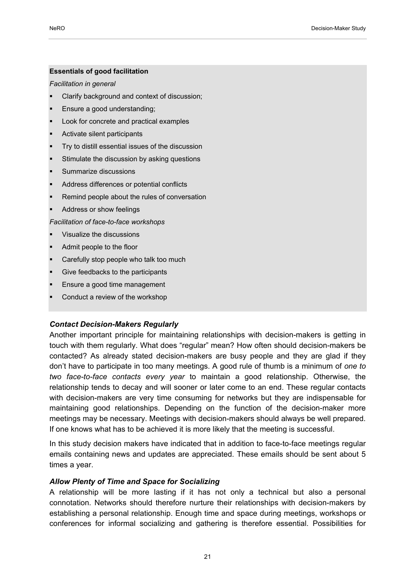#### **Essentials of good facilitation**

#### *Facilitation in general*

- Clarify background and context of discussion;
- Ensure a good understanding;
- Look for concrete and practical examples
- Activate silent participants
- Try to distill essential issues of the discussion
- Stimulate the discussion by asking questions
- Summarize discussions
- Address differences or potential conflicts
- Remind people about the rules of conversation
- Address or show feelings

*Facilitation of face-to-face workshops* 

- Visualize the discussions
- Admit people to the floor
- Carefully stop people who talk too much
- Give feedbacks to the participants
- Ensure a good time management
- Conduct a review of the workshop

#### *Contact Decision-Makers Regularly*

Another important principle for maintaining relationships with decision-makers is getting in touch with them regularly. What does "regular" mean? How often should decision-makers be contacted? As already stated decision-makers are busy people and they are glad if they don't have to participate in too many meetings. A good rule of thumb is a minimum of *one to two face-to-face contacts every year* to maintain a good relationship. Otherwise, the relationship tends to decay and will sooner or later come to an end. These regular contacts with decision-makers are very time consuming for networks but they are indispensable for maintaining good relationships. Depending on the function of the decision-maker more meetings may be necessary. Meetings with decision-makers should always be well prepared. If one knows what has to be achieved it is more likely that the meeting is successful.

In this study decision makers have indicated that in addition to face-to-face meetings regular emails containing news and updates are appreciated. These emails should be sent about 5 times a year.

#### *Allow Plenty of Time and Space for Socializing*

A relationship will be more lasting if it has not only a technical but also a personal connotation. Networks should therefore nurture their relationships with decision-makers by establishing a personal relationship. Enough time and space during meetings, workshops or conferences for informal socializing and gathering is therefore essential. Possibilities for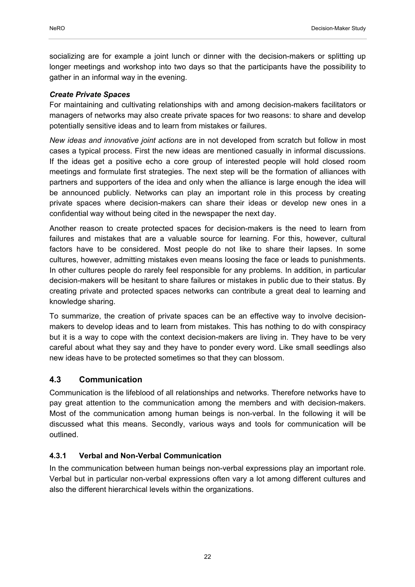socializing are for example a joint lunch or dinner with the decision-makers or splitting up longer meetings and workshop into two days so that the participants have the possibility to gather in an informal way in the evening.

### *Create Private Spaces*

For maintaining and cultivating relationships with and among decision-makers facilitators or managers of networks may also create private spaces for two reasons: to share and develop potentially sensitive ideas and to learn from mistakes or failures.

*New ideas and innovative joint actions* are in not developed from scratch but follow in most cases a typical process. First the new ideas are mentioned casually in informal discussions. If the ideas get a positive echo a core group of interested people will hold closed room meetings and formulate first strategies. The next step will be the formation of alliances with partners and supporters of the idea and only when the alliance is large enough the idea will be announced publicly. Networks can play an important role in this process by creating private spaces where decision-makers can share their ideas or develop new ones in a confidential way without being cited in the newspaper the next day.

Another reason to create protected spaces for decision-makers is the need to learn from failures and mistakes that are a valuable source for learning. For this, however, cultural factors have to be considered. Most people do not like to share their lapses. In some cultures, however, admitting mistakes even means loosing the face or leads to punishments. In other cultures people do rarely feel responsible for any problems. In addition, in particular decision-makers will be hesitant to share failures or mistakes in public due to their status. By creating private and protected spaces networks can contribute a great deal to learning and knowledge sharing.

To summarize, the creation of private spaces can be an effective way to involve decisionmakers to develop ideas and to learn from mistakes. This has nothing to do with conspiracy but it is a way to cope with the context decision-makers are living in. They have to be very careful about what they say and they have to ponder every word. Like small seedlings also new ideas have to be protected sometimes so that they can blossom.

## **4.3 Communication**

Communication is the lifeblood of all relationships and networks. Therefore networks have to pay great attention to the communication among the members and with decision-makers. Most of the communication among human beings is non-verbal. In the following it will be discussed what this means. Secondly, various ways and tools for communication will be outlined.

## **4.3.1 Verbal and Non-Verbal Communication**

In the communication between human beings non-verbal expressions play an important role. Verbal but in particular non-verbal expressions often vary a lot among different cultures and also the different hierarchical levels within the organizations.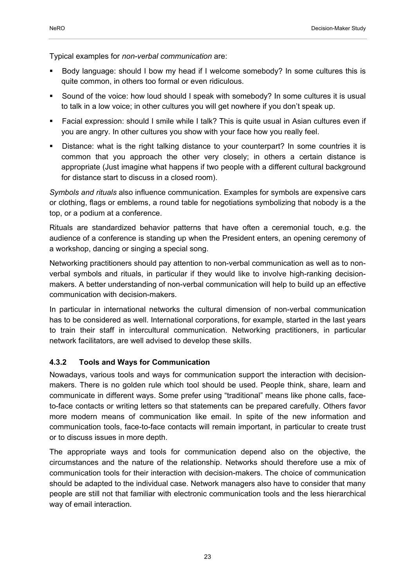Typical examples for *non-verbal communication* are:

- Body language: should I bow my head if I welcome somebody? In some cultures this is quite common, in others too formal or even ridiculous.
- Sound of the voice: how loud should I speak with somebody? In some cultures it is usual to talk in a low voice; in other cultures you will get nowhere if you don't speak up.
- Facial expression: should I smile while I talk? This is quite usual in Asian cultures even if you are angry. In other cultures you show with your face how you really feel.
- Distance: what is the right talking distance to your counterpart? In some countries it is common that you approach the other very closely; in others a certain distance is appropriate (Just imagine what happens if two people with a different cultural background for distance start to discuss in a closed room).

*Symbols and rituals* also influence communication. Examples for symbols are expensive cars or clothing, flags or emblems, a round table for negotiations symbolizing that nobody is a the top, or a podium at a conference.

Rituals are standardized behavior patterns that have often a ceremonial touch, e.g. the audience of a conference is standing up when the President enters, an opening ceremony of a workshop, dancing or singing a special song.

Networking practitioners should pay attention to non-verbal communication as well as to nonverbal symbols and rituals, in particular if they would like to involve high-ranking decisionmakers. A better understanding of non-verbal communication will help to build up an effective communication with decision-makers.

In particular in international networks the cultural dimension of non-verbal communication has to be considered as well. International corporations, for example, started in the last years to train their staff in intercultural communication. Networking practitioners, in particular network facilitators, are well advised to develop these skills.

#### **4.3.2 Tools and Ways for Communication**

Nowadays, various tools and ways for communication support the interaction with decisionmakers. There is no golden rule which tool should be used. People think, share, learn and communicate in different ways. Some prefer using "traditional" means like phone calls, faceto-face contacts or writing letters so that statements can be prepared carefully. Others favor more modern means of communication like email. In spite of the new information and communication tools, face-to-face contacts will remain important, in particular to create trust or to discuss issues in more depth.

The appropriate ways and tools for communication depend also on the objective, the circumstances and the nature of the relationship. Networks should therefore use a mix of communication tools for their interaction with decision-makers. The choice of communication should be adapted to the individual case. Network managers also have to consider that many people are still not that familiar with electronic communication tools and the less hierarchical way of email interaction.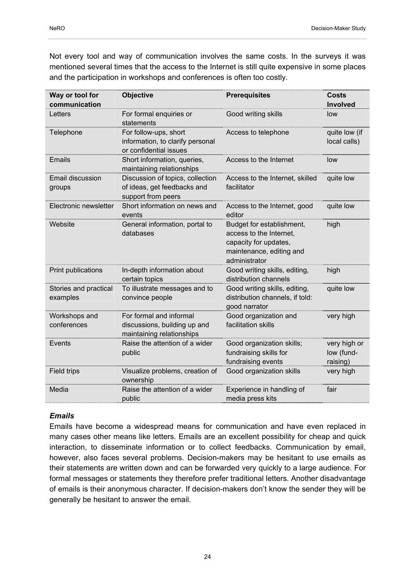Not every tool and way of communication involves the same costs. In the surveys it was mentioned several times that the access to the Internet is still quite expensive in some places and the participation in workshops and conferences is often too costly.

| Way or tool for<br>communication  | <b>Objective</b>                                                                      | <b>Prerequisites</b>                                                                                                       | Costs<br>Involved                      |
|-----------------------------------|---------------------------------------------------------------------------------------|----------------------------------------------------------------------------------------------------------------------------|----------------------------------------|
| Letters                           | For formal enquiries or<br>statements                                                 | Good writing skills                                                                                                        | low                                    |
| Telephone                         | For follow-ups, short<br>information, to clarify personal<br>or confidential issues   | Access to telephone                                                                                                        | quite low (if<br>local calls)          |
| <b>Emails</b>                     | Short information, queries,<br>maintaining relationships                              | Access to the Internet                                                                                                     | low                                    |
| Email discussion<br>groups        | Discussion of topics, collection<br>of ideas, get feedbacks and<br>support from peers | Access to the Internet, skilled<br>facilitator                                                                             | quite low                              |
| Electronic newsletter             | Short information on news and<br>events                                               | Access to the Internet, good<br>editor                                                                                     | quite low                              |
| Website                           | General information, portal to<br>databases                                           | Budget for establishment,<br>access to the Internet,<br>capacity for updates,<br>maintenance, editing and<br>administrator | high                                   |
| <b>Print publications</b>         | In-depth information about<br>certain topics                                          | Good writing skills, editing,<br>distribution channels                                                                     | high                                   |
| Stories and practical<br>examples | To illustrate messages and to<br>convince people                                      | Good writing skills, editing,<br>distribution channels, if told:<br>good narrator                                          | quite low                              |
| Workshops and<br>conferences      | For formal and informal<br>discussions, building up and<br>maintaining relationships  | Good organization and<br>facilitation skills                                                                               | very high                              |
| Events                            | Raise the attention of a wider<br>public                                              | Good organization skills;<br>fundraising skills for<br>fundraising events                                                  | very high or<br>low (fund-<br>raising) |
| Field trips                       | Visualize problems, creation of<br>ownership                                          | Good organization skills                                                                                                   | very high                              |
| Media                             | Raise the attention of a wider<br>public                                              | Experience in handling of<br>media press kits                                                                              | fair                                   |

## *Emails*

Emails have become a widespread means for communication and have even replaced in many cases other means like letters. Emails are an excellent possibility for cheap and quick interaction, to disseminate information or to collect feedbacks. Communication by email, however, also faces several problems. Decision-makers may be hesitant to use emails as their statements are written down and can be forwarded very quickly to a large audience. For formal messages or statements they therefore prefer traditional letters. Another disadvantage of emails is their anonymous character. If decision-makers don't know the sender they will be generally be hesitant to answer the email.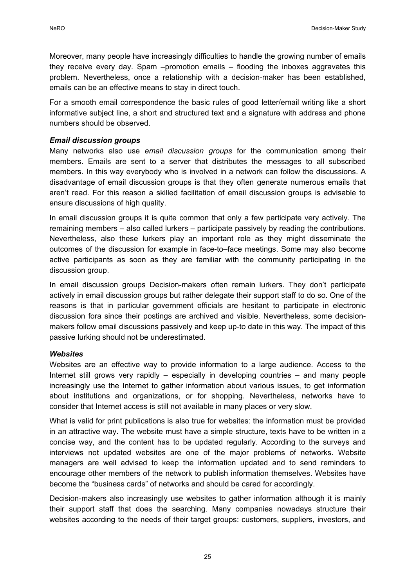Moreover, many people have increasingly difficulties to handle the growing number of emails they receive every day. Spam –promotion emails – flooding the inboxes aggravates this problem. Nevertheless, once a relationship with a decision-maker has been established, emails can be an effective means to stay in direct touch.

For a smooth email correspondence the basic rules of good letter/email writing like a short informative subject line, a short and structured text and a signature with address and phone numbers should be observed.

#### *Email discussion groups*

Many networks also use *email discussion groups* for the communication among their members. Emails are sent to a server that distributes the messages to all subscribed members. In this way everybody who is involved in a network can follow the discussions. A disadvantage of email discussion groups is that they often generate numerous emails that aren't read. For this reason a skilled facilitation of email discussion groups is advisable to ensure discussions of high quality.

In email discussion groups it is quite common that only a few participate very actively. The remaining members – also called lurkers – participate passively by reading the contributions. Nevertheless, also these lurkers play an important role as they might disseminate the outcomes of the discussion for example in face-to–face meetings. Some may also become active participants as soon as they are familiar with the community participating in the discussion group.

In email discussion groups Decision-makers often remain lurkers. They don't participate actively in email discussion groups but rather delegate their support staff to do so. One of the reasons is that in particular government officials are hesitant to participate in electronic discussion fora since their postings are archived and visible. Nevertheless, some decisionmakers follow email discussions passively and keep up-to date in this way. The impact of this passive lurking should not be underestimated.

#### *Websites*

Websites are an effective way to provide information to a large audience. Access to the Internet still grows very rapidly – especially in developing countries – and many people increasingly use the Internet to gather information about various issues, to get information about institutions and organizations, or for shopping. Nevertheless, networks have to consider that Internet access is still not available in many places or very slow.

What is valid for print publications is also true for websites: the information must be provided in an attractive way. The website must have a simple structure, texts have to be written in a concise way, and the content has to be updated regularly. According to the surveys and interviews not updated websites are one of the major problems of networks. Website managers are well advised to keep the information updated and to send reminders to encourage other members of the network to publish information themselves. Websites have become the "business cards" of networks and should be cared for accordingly.

Decision-makers also increasingly use websites to gather information although it is mainly their support staff that does the searching. Many companies nowadays structure their websites according to the needs of their target groups: customers, suppliers, investors, and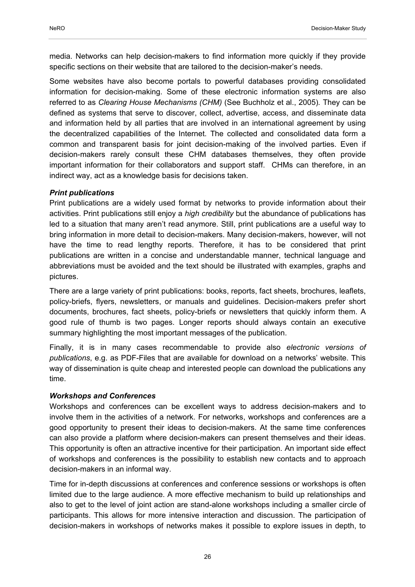media. Networks can help decision-makers to find information more quickly if they provide specific sections on their website that are tailored to the decision-maker's needs.

Some websites have also become portals to powerful databases providing consolidated information for decision-making. Some of these electronic information systems are also referred to as *Clearing House Mechanisms (CHM)* (See Buchholz et al., 2005)*.* They can be defined as systems that serve to discover, collect, advertise, access, and disseminate data and information held by all parties that are involved in an international agreement by using the decentralized capabilities of the Internet. The collected and consolidated data form a common and transparent basis for joint decision-making of the involved parties. Even if decision-makers rarely consult these CHM databases themselves, they often provide important information for their collaborators and support staff. CHMs can therefore, in an indirect way, act as a knowledge basis for decisions taken.

### *Print publications*

Print publications are a widely used format by networks to provide information about their activities. Print publications still enjoy a *high credibility* but the abundance of publications has led to a situation that many aren't read anymore. Still, print publications are a useful way to bring information in more detail to decision-makers. Many decision-makers, however, will not have the time to read lengthy reports. Therefore, it has to be considered that print publications are written in a concise and understandable manner, technical language and abbreviations must be avoided and the text should be illustrated with examples, graphs and pictures.

There are a large variety of print publications: books, reports, fact sheets, brochures, leaflets, policy-briefs, flyers, newsletters, or manuals and guidelines. Decision-makers prefer short documents, brochures, fact sheets, policy-briefs or newsletters that quickly inform them. A good rule of thumb is two pages. Longer reports should always contain an executive summary highlighting the most important messages of the publication.

Finally, it is in many cases recommendable to provide also *electronic versions of publications*, e.g. as PDF-Files that are available for download on a networks' website. This way of dissemination is quite cheap and interested people can download the publications any time.

#### *Workshops and Conferences*

Workshops and conferences can be excellent ways to address decision-makers and to involve them in the activities of a network. For networks, workshops and conferences are a good opportunity to present their ideas to decision-makers. At the same time conferences can also provide a platform where decision-makers can present themselves and their ideas. This opportunity is often an attractive incentive for their participation. An important side effect of workshops and conferences is the possibility to establish new contacts and to approach decision-makers in an informal way.

Time for in-depth discussions at conferences and conference sessions or workshops is often limited due to the large audience. A more effective mechanism to build up relationships and also to get to the level of joint action are stand-alone workshops including a smaller circle of participants. This allows for more intensive interaction and discussion. The participation of decision-makers in workshops of networks makes it possible to explore issues in depth, to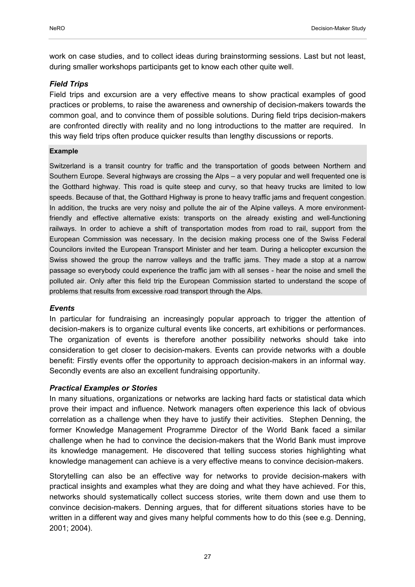work on case studies, and to collect ideas during brainstorming sessions. Last but not least, during smaller workshops participants get to know each other quite well.

#### *Field Trips*

Field trips and excursion are a very effective means to show practical examples of good practices or problems, to raise the awareness and ownership of decision-makers towards the common goal, and to convince them of possible solutions. During field trips decision-makers are confronted directly with reality and no long introductions to the matter are required. In this way field trips often produce quicker results than lengthy discussions or reports.

#### **Example**

Switzerland is a transit country for traffic and the transportation of goods between Northern and Southern Europe. Several highways are crossing the Alps – a very popular and well frequented one is the Gotthard highway. This road is quite steep and curvy, so that heavy trucks are limited to low speeds. Because of that, the Gotthard Highway is prone to heavy traffic jams and frequent congestion. In addition, the trucks are very noisy and pollute the air of the Alpine valleys. A more environmentfriendly and effective alternative exists: transports on the already existing and well-functioning railways. In order to achieve a shift of transportation modes from road to rail, support from the European Commission was necessary. In the decision making process one of the Swiss Federal Councilors invited the European Transport Minister and her team. During a helicopter excursion the Swiss showed the group the narrow valleys and the traffic jams. They made a stop at a narrow passage so everybody could experience the traffic jam with all senses - hear the noise and smell the polluted air. Only after this field trip the European Commission started to understand the scope of problems that results from excessive road transport through the Alps.

#### *Events*

In particular for fundraising an increasingly popular approach to trigger the attention of decision-makers is to organize cultural events like concerts, art exhibitions or performances. The organization of events is therefore another possibility networks should take into consideration to get closer to decision-makers. Events can provide networks with a double benefit: Firstly events offer the opportunity to approach decision-makers in an informal way. Secondly events are also an excellent fundraising opportunity.

## *Practical Examples or Stories*

In many situations, organizations or networks are lacking hard facts or statistical data which prove their impact and influence. Network managers often experience this lack of obvious correlation as a challenge when they have to justify their activities. Stephen Denning, the former Knowledge Management Programme Director of the World Bank faced a similar challenge when he had to convince the decision-makers that the World Bank must improve its knowledge management. He discovered that telling success stories highlighting what knowledge management can achieve is a very effective means to convince decision-makers.

Storytelling can also be an effective way for networks to provide decision-makers with practical insights and examples what they are doing and what they have achieved. For this, networks should systematically collect success stories, write them down and use them to convince decision-makers. Denning argues, that for different situations stories have to be written in a different way and gives many helpful comments how to do this (see e.g. Denning, 2001; 2004).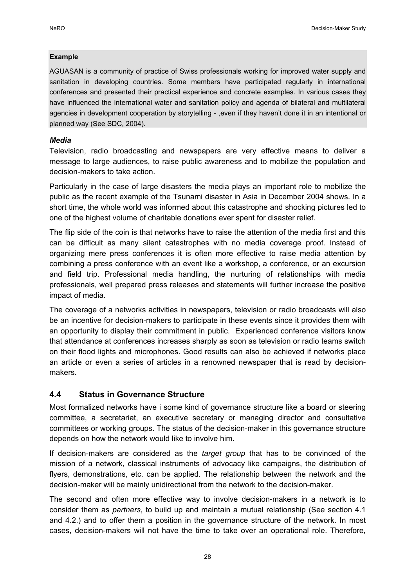#### **Example**

AGUASAN is a community of practice of Swiss professionals working for improved water supply and sanitation in developing countries. Some members have participated regularly in international conferences and presented their practical experience and concrete examples. In various cases they have influenced the international water and sanitation policy and agenda of bilateral and multilateral agencies in development cooperation by storytelling - , even if they haven't done it in an intentional or planned way (See SDC, 2004).

#### *Media*

Television, radio broadcasting and newspapers are very effective means to deliver a message to large audiences, to raise public awareness and to mobilize the population and decision-makers to take action.

Particularly in the case of large disasters the media plays an important role to mobilize the public as the recent example of the Tsunami disaster in Asia in December 2004 shows. In a short time, the whole world was informed about this catastrophe and shocking pictures led to one of the highest volume of charitable donations ever spent for disaster relief.

The flip side of the coin is that networks have to raise the attention of the media first and this can be difficult as many silent catastrophes with no media coverage proof. Instead of organizing mere press conferences it is often more effective to raise media attention by combining a press conference with an event like a workshop, a conference, or an excursion and field trip. Professional media handling, the nurturing of relationships with media professionals, well prepared press releases and statements will further increase the positive impact of media.

The coverage of a networks activities in newspapers, television or radio broadcasts will also be an incentive for decision-makers to participate in these events since it provides them with an opportunity to display their commitment in public. Experienced conference visitors know that attendance at conferences increases sharply as soon as television or radio teams switch on their flood lights and microphones. Good results can also be achieved if networks place an article or even a series of articles in a renowned newspaper that is read by decisionmakers.

## **4.4 Status in Governance Structure**

Most formalized networks have i some kind of governance structure like a board or steering committee, a secretariat, an executive secretary or managing director and consultative committees or working groups. The status of the decision-maker in this governance structure depends on how the network would like to involve him.

If decision-makers are considered as the *target group* that has to be convinced of the mission of a network, classical instruments of advocacy like campaigns, the distribution of flyers, demonstrations, etc. can be applied. The relationship between the network and the decision-maker will be mainly unidirectional from the network to the decision-maker.

The second and often more effective way to involve decision-makers in a network is to consider them as *partners*, to build up and maintain a mutual relationship (See section 4.1 and 4.2.) and to offer them a position in the governance structure of the network. In most cases, decision-makers will not have the time to take over an operational role. Therefore,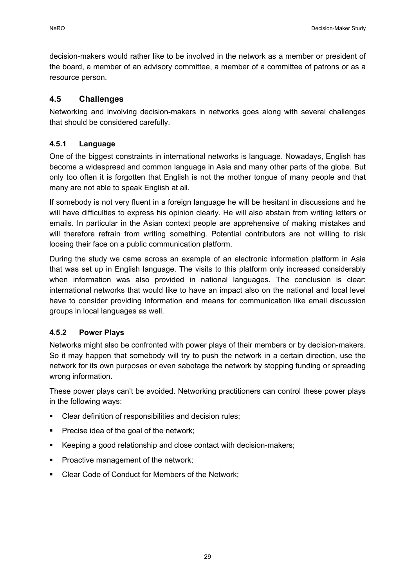decision-makers would rather like to be involved in the network as a member or president of the board, a member of an advisory committee, a member of a committee of patrons or as a resource person.

## **4.5 Challenges**

Networking and involving decision-makers in networks goes along with several challenges that should be considered carefully.

## **4.5.1 Language**

One of the biggest constraints in international networks is language. Nowadays, English has become a widespread and common language in Asia and many other parts of the globe. But only too often it is forgotten that English is not the mother tongue of many people and that many are not able to speak English at all.

If somebody is not very fluent in a foreign language he will be hesitant in discussions and he will have difficulties to express his opinion clearly. He will also abstain from writing letters or emails. In particular in the Asian context people are apprehensive of making mistakes and will therefore refrain from writing something. Potential contributors are not willing to risk loosing their face on a public communication platform.

During the study we came across an example of an electronic information platform in Asia that was set up in English language. The visits to this platform only increased considerably when information was also provided in national languages. The conclusion is clear: international networks that would like to have an impact also on the national and local level have to consider providing information and means for communication like email discussion groups in local languages as well.

## **4.5.2 Power Plays**

Networks might also be confronted with power plays of their members or by decision-makers. So it may happen that somebody will try to push the network in a certain direction, use the network for its own purposes or even sabotage the network by stopping funding or spreading wrong information.

These power plays can't be avoided. Networking practitioners can control these power plays in the following ways:

- Clear definition of responsibilities and decision rules;
- Precise idea of the goal of the network;
- Keeping a good relationship and close contact with decision-makers;
- Proactive management of the network;
- Clear Code of Conduct for Members of the Network;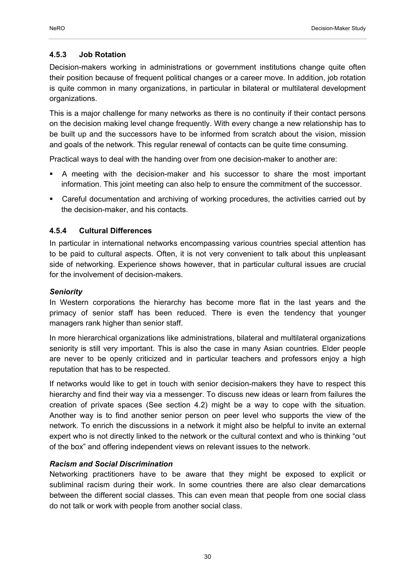#### **4.5.3 Job Rotation**

Decision-makers working in administrations or government institutions change quite often their position because of frequent political changes or a career move. In addition, job rotation is quite common in many organizations, in particular in bilateral or multilateral development organizations.

This is a major challenge for many networks as there is no continuity if their contact persons on the decision making level change frequently. With every change a new relationship has to be built up and the successors have to be informed from scratch about the vision, mission and goals of the network. This regular renewal of contacts can be quite time consuming.

Practical ways to deal with the handing over from one decision-maker to another are:

- A meeting with the decision-maker and his successor to share the most important information. This joint meeting can also help to ensure the commitment of the successor.
- Careful documentation and archiving of working procedures, the activities carried out by the decision-maker, and his contacts.

#### **4.5.4 Cultural Differences**

In particular in international networks encompassing various countries special attention has to be paid to cultural aspects. Often, it is not very convenient to talk about this unpleasant side of networking. Experience shows however, that in particular cultural issues are crucial for the involvement of decision-makers.

#### *Seniority*

In Western corporations the hierarchy has become more flat in the last years and the primacy of senior staff has been reduced. There is even the tendency that younger managers rank higher than senior staff.

In more hierarchical organizations like administrations, bilateral and multilateral organizations seniority is still very important. This is also the case in many Asian countries. Elder people are never to be openly criticized and in particular teachers and professors enjoy a high reputation that has to be respected.

If networks would like to get in touch with senior decision-makers they have to respect this hierarchy and find their way via a messenger. To discuss new ideas or learn from failures the creation of private spaces (See section 4.2) might be a way to cope with the situation. Another way is to find another senior person on peer level who supports the view of the network. To enrich the discussions in a network it might also be helpful to invite an external expert who is not directly linked to the network or the cultural context and who is thinking "out of the box" and offering independent views on relevant issues to the network.

#### *Racism and Social Discrimination*

Networking practitioners have to be aware that they might be exposed to explicit or subliminal racism during their work. In some countries there are also clear demarcations between the different social classes. This can even mean that people from one social class do not talk or work with people from another social class.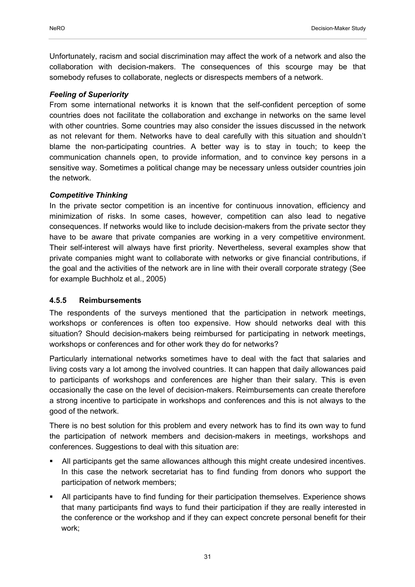Unfortunately, racism and social discrimination may affect the work of a network and also the collaboration with decision-makers. The consequences of this scourge may be that somebody refuses to collaborate, neglects or disrespects members of a network.

## *Feeling of Superiority*

From some international networks it is known that the self-confident perception of some countries does not facilitate the collaboration and exchange in networks on the same level with other countries. Some countries may also consider the issues discussed in the network as not relevant for them. Networks have to deal carefully with this situation and shouldn't blame the non-participating countries. A better way is to stay in touch; to keep the communication channels open, to provide information, and to convince key persons in a sensitive way. Sometimes a political change may be necessary unless outsider countries join the network.

### *Competitive Thinking*

In the private sector competition is an incentive for continuous innovation, efficiency and minimization of risks. In some cases, however, competition can also lead to negative consequences. If networks would like to include decision-makers from the private sector they have to be aware that private companies are working in a very competitive environment. Their self-interest will always have first priority. Nevertheless, several examples show that private companies might want to collaborate with networks or give financial contributions, if the goal and the activities of the network are in line with their overall corporate strategy (See for example Buchholz et al., 2005)

## **4.5.5 Reimbursements**

The respondents of the surveys mentioned that the participation in network meetings, workshops or conferences is often too expensive. How should networks deal with this situation? Should decision-makers being reimbursed for participating in network meetings, workshops or conferences and for other work they do for networks?

Particularly international networks sometimes have to deal with the fact that salaries and living costs vary a lot among the involved countries. It can happen that daily allowances paid to participants of workshops and conferences are higher than their salary. This is even occasionally the case on the level of decision-makers. Reimbursements can create therefore a strong incentive to participate in workshops and conferences and this is not always to the good of the network.

There is no best solution for this problem and every network has to find its own way to fund the participation of network members and decision-makers in meetings, workshops and conferences. Suggestions to deal with this situation are:

- All participants get the same allowances although this might create undesired incentives. In this case the network secretariat has to find funding from donors who support the participation of network members;
- All participants have to find funding for their participation themselves. Experience shows that many participants find ways to fund their participation if they are really interested in the conference or the workshop and if they can expect concrete personal benefit for their work;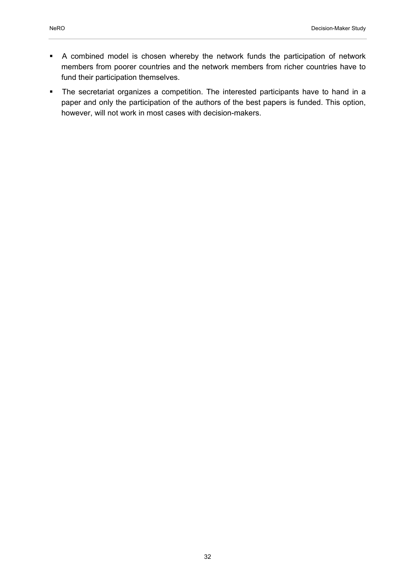- A combined model is chosen whereby the network funds the participation of network members from poorer countries and the network members from richer countries have to fund their participation themselves.
- The secretariat organizes a competition. The interested participants have to hand in a paper and only the participation of the authors of the best papers is funded. This option, however, will not work in most cases with decision-makers.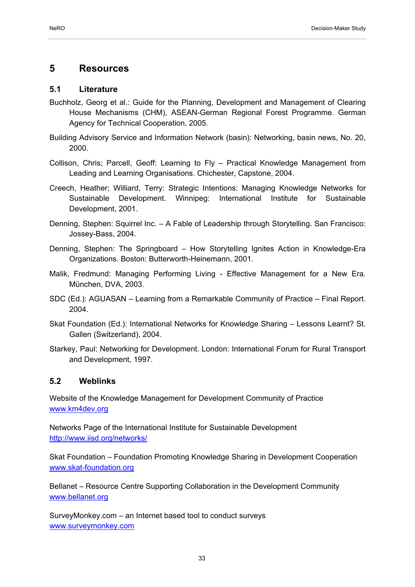## **5 Resources**

### **5.1 Literature**

- Buchholz, Georg et al.: Guide for the Planning, Development and Management of Clearing House Mechanisms (CHM), ASEAN-German Regional Forest Programme. German Agency for Technical Cooperation, 2005.
- Building Advisory Service and Information Network (basin): Networking, basin news, No. 20, 2000.
- Collison, Chris; Parcell, Geoff: Learning to Fly Practical Knowledge Management from Leading and Learning Organisations. Chichester, Capstone, 2004.
- Creech, Heather; Williard, Terry: Strategic Intentions: Managing Knowledge Networks for Sustainable Development. Winnipeg: International Institute for Sustainable Development, 2001.
- Denning, Stephen: Squirrel Inc. A Fable of Leadership through Storytelling. San Francisco: Jossey-Bass, 2004.
- Denning, Stephen: The Springboard How Storytelling Ignites Action in Knowledge-Era Organizations. Boston: Butterworth-Heinemann, 2001.
- Malik, Fredmund: Managing Performing Living Effective Management for a New Era. München, DVA, 2003.
- SDC (Ed.): AGUASAN Learning from a Remarkable Community of Practice Final Report. 2004.
- Skat Foundation (Ed.): International Networks for Knowledge Sharing Lessons Learnt? St. Gallen (Switzerland), 2004.
- Starkey, Paul: Networking for Development. London: International Forum for Rural Transport and Development, 1997.

## **5.2 Weblinks**

Website of the Knowledge Management for Development Community of Practice www.km4dev.org

Networks Page of the International Institute for Sustainable Development http://www.iisd.org/networks/

Skat Foundation – Foundation Promoting Knowledge Sharing in Development Cooperation www.skat-foundation.org

Bellanet – Resource Centre Supporting Collaboration in the Development Community www.bellanet.org

SurveyMonkey.com – an Internet based tool to conduct surveys www.surveymonkey.com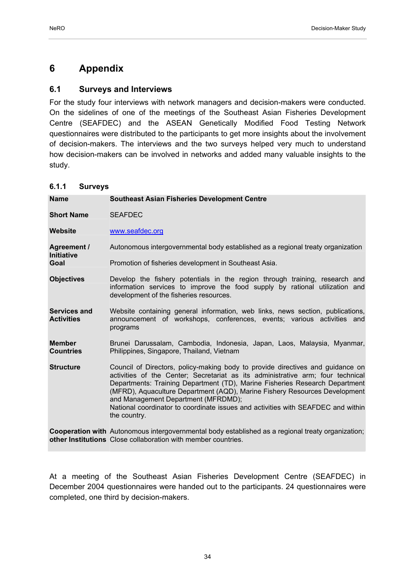# **6 Appendix**

## **6.1 Surveys and Interviews**

For the study four interviews with network managers and decision-makers were conducted. On the sidelines of one of the meetings of the Southeast Asian Fisheries Development Centre (SEAFDEC) and the ASEAN Genetically Modified Food Testing Network questionnaires were distributed to the participants to get more insights about the involvement of decision-makers. The interviews and the two surveys helped very much to understand how decision-makers can be involved in networks and added many valuable insights to the study.

## **6.1.1 Surveys**

| <b>Name</b>                       | <b>Southeast Asian Fisheries Development Centre</b>                                                                                                                                                                                                                                                                                                                                                                                                                       |
|-----------------------------------|---------------------------------------------------------------------------------------------------------------------------------------------------------------------------------------------------------------------------------------------------------------------------------------------------------------------------------------------------------------------------------------------------------------------------------------------------------------------------|
| <b>Short Name</b>                 | <b>SEAFDEC</b>                                                                                                                                                                                                                                                                                                                                                                                                                                                            |
| Website                           | www.seafdec.org                                                                                                                                                                                                                                                                                                                                                                                                                                                           |
| Agreement /<br><b>Initiative</b>  | Autonomous intergovernmental body established as a regional treaty organization                                                                                                                                                                                                                                                                                                                                                                                           |
| Goal                              | Promotion of fisheries development in Southeast Asia.                                                                                                                                                                                                                                                                                                                                                                                                                     |
| <b>Objectives</b>                 | Develop the fishery potentials in the region through training, research and<br>information services to improve the food supply by rational utilization and<br>development of the fisheries resources.                                                                                                                                                                                                                                                                     |
| Services and<br><b>Activities</b> | Website containing general information, web links, news section, publications,<br>announcement of workshops, conferences, events; various activities and<br>programs                                                                                                                                                                                                                                                                                                      |
| <b>Member</b><br><b>Countries</b> | Brunei Darussalam, Cambodia, Indonesia, Japan, Laos, Malaysia, Myanmar,<br>Philippines, Singapore, Thailand, Vietnam                                                                                                                                                                                                                                                                                                                                                      |
| <b>Structure</b>                  | Council of Directors, policy-making body to provide directives and guidance on<br>activities of the Center; Secretariat as its administrative arm; four technical<br>Departments: Training Department (TD), Marine Fisheries Research Department<br>(MFRD), Aquaculture Department (AQD), Marine Fishery Resources Development<br>and Management Department (MFRDMD);<br>National coordinator to coordinate issues and activities with SEAFDEC and within<br>the country. |
|                                   | Connection with Autonomous intersevernmental hody ostablished as a regional tracty erganization:                                                                                                                                                                                                                                                                                                                                                                          |

Cooperation with Autonomous intergovernmental body established as a regional treaty organization; **other Institutions**  Close collaboration with member countries.

At a meeting of the Southeast Asian Fisheries Development Centre (SEAFDEC) in December 2004 questionnaires were handed out to the participants. 24 questionnaires were completed, one third by decision-makers.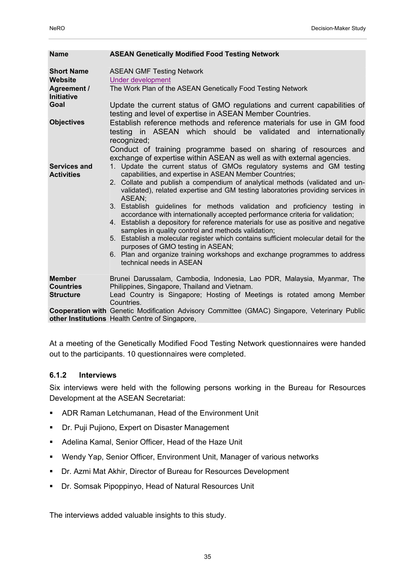| <b>Name</b>                                                                                   | <b>ASEAN Genetically Modified Food Testing Network</b>                                                                                                                                                                                                                                                                                                                                                                                                                                                                                                                                                                                                                                                                                                                                                                                                                                                                                                                                                     |
|-----------------------------------------------------------------------------------------------|------------------------------------------------------------------------------------------------------------------------------------------------------------------------------------------------------------------------------------------------------------------------------------------------------------------------------------------------------------------------------------------------------------------------------------------------------------------------------------------------------------------------------------------------------------------------------------------------------------------------------------------------------------------------------------------------------------------------------------------------------------------------------------------------------------------------------------------------------------------------------------------------------------------------------------------------------------------------------------------------------------|
| <b>Short Name</b><br>Website<br><b>Agreement /</b><br>Initiative<br>Goal<br><b>Objectives</b> | <b>ASEAN GMF Testing Network</b><br><b>Under development</b><br>The Work Plan of the ASEAN Genetically Food Testing Network<br>Update the current status of GMO regulations and current capabilities of<br>testing and level of expertise in ASEAN Member Countries.<br>Establish reference methods and reference materials for use in GM food<br>testing in ASEAN which should be validated and internationally<br>recognized;                                                                                                                                                                                                                                                                                                                                                                                                                                                                                                                                                                            |
| Services and<br><b>Activities</b>                                                             | Conduct of training programme based on sharing of resources and<br>exchange of expertise within ASEAN as well as with external agencies.<br>1. Update the current status of GMOs regulatory systems and GM testing<br>capabilities, and expertise in ASEAN Member Countries;<br>2. Collate and publish a compendium of analytical methods (validated and un-<br>validated), related expertise and GM testing laboratories providing services in<br>ASEAN;<br>3. Establish guidelines for methods validation and proficiency testing in<br>accordance with internationally accepted performance criteria for validation;<br>4. Establish a depository for reference materials for use as positive and negative<br>samples in quality control and methods validation;<br>5. Establish a molecular register which contains sufficient molecular detail for the<br>purposes of GMO testing in ASEAN;<br>6. Plan and organize training workshops and exchange programmes to address<br>technical needs in ASEAN |
| <b>Member</b><br><b>Countries</b><br><b>Structure</b>                                         | Brunei Darussalam, Cambodia, Indonesia, Lao PDR, Malaysia, Myanmar, The<br>Philippines, Singapore, Thailand and Vietnam.<br>Lead Country is Singapore; Hosting of Meetings is rotated among Member<br>Countries.                                                                                                                                                                                                                                                                                                                                                                                                                                                                                                                                                                                                                                                                                                                                                                                           |
|                                                                                               | Cooperation with Genetic Modification Advisory Committee (GMAC) Singapore, Veterinary Public<br>other Institutions Health Centre of Singapore,                                                                                                                                                                                                                                                                                                                                                                                                                                                                                                                                                                                                                                                                                                                                                                                                                                                             |

At a meeting of the Genetically Modified Food Testing Network questionnaires were handed out to the participants. 10 questionnaires were completed.

#### **6.1.2 Interviews**

Six interviews were held with the following persons working in the Bureau for Resources Development at the ASEAN Secretariat:

- ADR Raman Letchumanan, Head of the Environment Unit
- **Dr. Puji Pujiono, Expert on Disaster Management**
- Adelina Kamal, Senior Officer, Head of the Haze Unit
- Wendy Yap, Senior Officer, Environment Unit, Manager of various networks
- Dr. Azmi Mat Akhir, Director of Bureau for Resources Development
- Dr. Somsak Pipoppinyo, Head of Natural Resources Unit

The interviews added valuable insights to this study.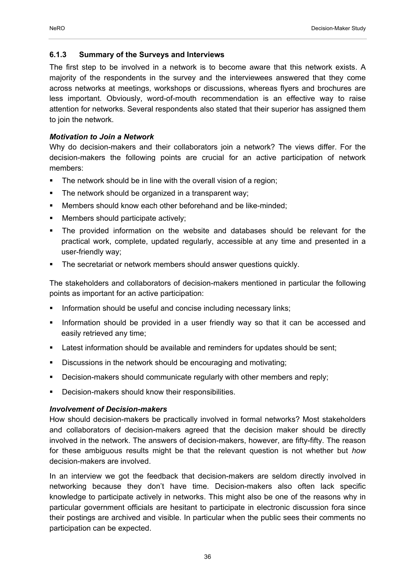#### **6.1.3 Summary of the Surveys and Interviews**

The first step to be involved in a network is to become aware that this network exists. A majority of the respondents in the survey and the interviewees answered that they come across networks at meetings, workshops or discussions, whereas flyers and brochures are less important. Obviously, word-of-mouth recommendation is an effective way to raise attention for networks. Several respondents also stated that their superior has assigned them to join the network.

#### *Motivation to Join a Network*

Why do decision-makers and their collaborators join a network? The views differ. For the decision-makers the following points are crucial for an active participation of network members:

- The network should be in line with the overall vision of a region;
- **The network should be organized in a transparent way;**
- Members should know each other beforehand and be like-minded;
- Members should participate actively;
- The provided information on the website and databases should be relevant for the practical work, complete, updated regularly, accessible at any time and presented in a user-friendly way;
- The secretariat or network members should answer questions quickly.

The stakeholders and collaborators of decision-makers mentioned in particular the following points as important for an active participation:

- Information should be useful and concise including necessary links;
- Information should be provided in a user friendly way so that it can be accessed and easily retrieved any time;
- **Latest information should be available and reminders for updates should be sent;**
- Discussions in the network should be encouraging and motivating;
- **Decision-makers should communicate regularly with other members and reply;**
- **-** Decision-makers should know their responsibilities.

#### *Involvement of Decision-makers*

How should decision-makers be practically involved in formal networks? Most stakeholders and collaborators of decision-makers agreed that the decision maker should be directly involved in the network. The answers of decision-makers, however, are fifty-fifty. The reason for these ambiguous results might be that the relevant question is not whether but *how* decision-makers are involved.

In an interview we got the feedback that decision-makers are seldom directly involved in networking because they don't have time. Decision-makers also often lack specific knowledge to participate actively in networks. This might also be one of the reasons why in particular government officials are hesitant to participate in electronic discussion fora since their postings are archived and visible. In particular when the public sees their comments no participation can be expected.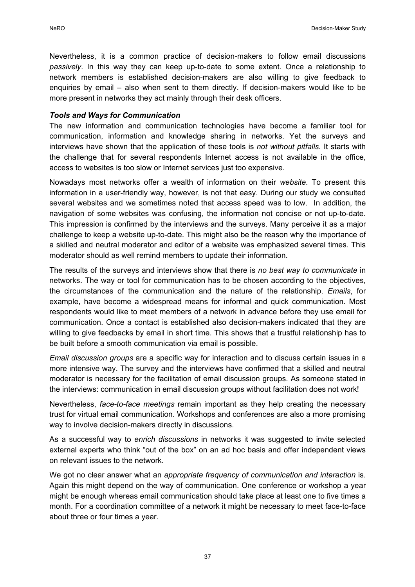Nevertheless, it is a common practice of decision-makers to follow email discussions *passively*. In this way they can keep up-to-date to some extent. Once a relationship to network members is established decision-makers are also willing to give feedback to enquiries by email – also when sent to them directly. If decision-makers would like to be more present in networks they act mainly through their desk officers.

#### *Tools and Ways for Communication*

The new information and communication technologies have become a familiar tool for communication, information and knowledge sharing in networks. Yet the surveys and interviews have shown that the application of these tools is *not without pitfalls*. It starts with the challenge that for several respondents Internet access is not available in the office, access to websites is too slow or Internet services just too expensive.

Nowadays most networks offer a wealth of information on their *website*. To present this information in a user-friendly way, however, is not that easy. During our study we consulted several websites and we sometimes noted that access speed was to low. In addition, the navigation of some websites was confusing, the information not concise or not up-to-date. This impression is confirmed by the interviews and the surveys. Many perceive it as a major challenge to keep a website up-to-date. This might also be the reason why the importance of a skilled and neutral moderator and editor of a website was emphasized several times. This moderator should as well remind members to update their information.

The results of the surveys and interviews show that there is *no best way to communicate* in networks. The way or tool for communication has to be chosen according to the objectives, the circumstances of the communication and the nature of the relationship. *Emails*, for example, have become a widespread means for informal and quick communication. Most respondents would like to meet members of a network in advance before they use email for communication. Once a contact is established also decision-makers indicated that they are willing to give feedbacks by email in short time. This shows that a trustful relationship has to be built before a smooth communication via email is possible.

*Email discussion groups* are a specific way for interaction and to discuss certain issues in a more intensive way. The survey and the interviews have confirmed that a skilled and neutral moderator is necessary for the facilitation of email discussion groups. As someone stated in the interviews: communication in email discussion groups without facilitation does not work!

Nevertheless, *face-to-face meetings* remain important as they help creating the necessary trust for virtual email communication. Workshops and conferences are also a more promising way to involve decision-makers directly in discussions.

As a successful way to *enrich discussions* in networks it was suggested to invite selected external experts who think "out of the box" on an ad hoc basis and offer independent views on relevant issues to the network.

We got no clear answer what an *appropriate frequency of communication and interaction* is. Again this might depend on the way of communication. One conference or workshop a year might be enough whereas email communication should take place at least one to five times a month. For a coordination committee of a network it might be necessary to meet face-to-face about three or four times a year.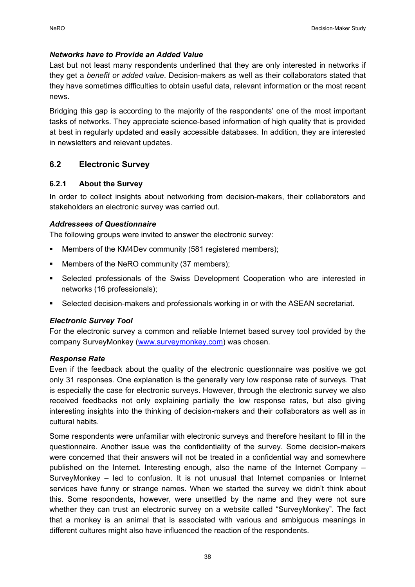#### *Networks have to Provide an Added Value*

Last but not least many respondents underlined that they are only interested in networks if they get a *benefit or added value*. Decision-makers as well as their collaborators stated that they have sometimes difficulties to obtain useful data, relevant information or the most recent news.

Bridging this gap is according to the majority of the respondents' one of the most important tasks of networks. They appreciate science-based information of high quality that is provided at best in regularly updated and easily accessible databases. In addition, they are interested in newsletters and relevant updates.

## **6.2 Electronic Survey**

### **6.2.1 About the Survey**

In order to collect insights about networking from decision-makers, their collaborators and stakeholders an electronic survey was carried out.

### *Addressees of Questionnaire*

The following groups were invited to answer the electronic survey:

- Members of the KM4Dev community (581 registered members);
- Members of the NeRO community (37 members);
- Selected professionals of the Swiss Development Cooperation who are interested in networks (16 professionals);
- Selected decision-makers and professionals working in or with the ASEAN secretariat.

#### *Electronic Survey Tool*

For the electronic survey a common and reliable Internet based survey tool provided by the company SurveyMonkey (www.surveymonkey.com) was chosen.

#### *Response Rate*

Even if the feedback about the quality of the electronic questionnaire was positive we got only 31 responses. One explanation is the generally very low response rate of surveys. That is especially the case for electronic surveys. However, through the electronic survey we also received feedbacks not only explaining partially the low response rates, but also giving interesting insights into the thinking of decision-makers and their collaborators as well as in cultural habits.

Some respondents were unfamiliar with electronic surveys and therefore hesitant to fill in the questionnaire. Another issue was the confidentiality of the survey. Some decision-makers were concerned that their answers will not be treated in a confidential way and somewhere published on the Internet. Interesting enough, also the name of the Internet Company – SurveyMonkey – led to confusion. It is not unusual that Internet companies or Internet services have funny or strange names. When we started the survey we didn't think about this. Some respondents, however, were unsettled by the name and they were not sure whether they can trust an electronic survey on a website called "SurveyMonkey". The fact that a monkey is an animal that is associated with various and ambiguous meanings in different cultures might also have influenced the reaction of the respondents.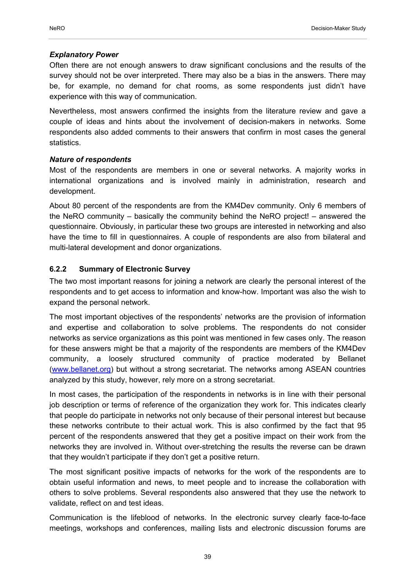#### *Explanatory Power*

Often there are not enough answers to draw significant conclusions and the results of the survey should not be over interpreted. There may also be a bias in the answers. There may be, for example, no demand for chat rooms, as some respondents just didn't have experience with this way of communication.

Nevertheless, most answers confirmed the insights from the literature review and gave a couple of ideas and hints about the involvement of decision-makers in networks. Some respondents also added comments to their answers that confirm in most cases the general statistics.

### *Nature of respondents*

Most of the respondents are members in one or several networks. A majority works in international organizations and is involved mainly in administration, research and development.

About 80 percent of the respondents are from the KM4Dev community. Only 6 members of the NeRO community – basically the community behind the NeRO project! – answered the questionnaire. Obviously, in particular these two groups are interested in networking and also have the time to fill in questionnaires. A couple of respondents are also from bilateral and multi-lateral development and donor organizations.

## **6.2.2 Summary of Electronic Survey**

The two most important reasons for joining a network are clearly the personal interest of the respondents and to get access to information and know-how. Important was also the wish to expand the personal network.

The most important objectives of the respondents' networks are the provision of information and expertise and collaboration to solve problems. The respondents do not consider networks as service organizations as this point was mentioned in few cases only. The reason for these answers might be that a majority of the respondents are members of the KM4Dev community, a loosely structured community of practice moderated by Bellanet (www.bellanet.org) but without a strong secretariat. The networks among ASEAN countries analyzed by this study, however, rely more on a strong secretariat.

In most cases, the participation of the respondents in networks is in line with their personal job description or terms of reference of the organization they work for. This indicates clearly that people do participate in networks not only because of their personal interest but because these networks contribute to their actual work. This is also confirmed by the fact that 95 percent of the respondents answered that they get a positive impact on their work from the networks they are involved in. Without over-stretching the results the reverse can be drawn that they wouldn't participate if they don't get a positive return.

The most significant positive impacts of networks for the work of the respondents are to obtain useful information and news, to meet people and to increase the collaboration with others to solve problems. Several respondents also answered that they use the network to validate, reflect on and test ideas.

Communication is the lifeblood of networks. In the electronic survey clearly face-to-face meetings, workshops and conferences, mailing lists and electronic discussion forums are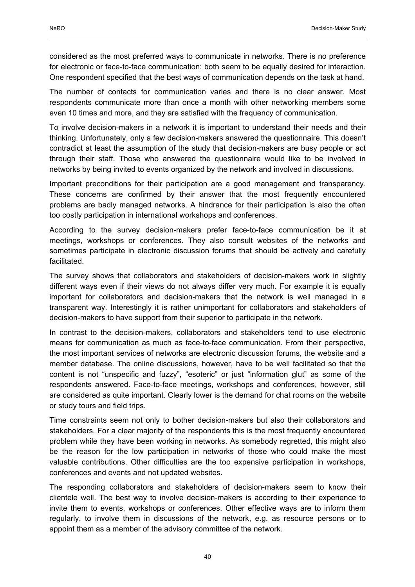considered as the most preferred ways to communicate in networks. There is no preference for electronic or face-to-face communication: both seem to be equally desired for interaction. One respondent specified that the best ways of communication depends on the task at hand.

The number of contacts for communication varies and there is no clear answer. Most respondents communicate more than once a month with other networking members some even 10 times and more, and they are satisfied with the frequency of communication.

To involve decision-makers in a network it is important to understand their needs and their thinking. Unfortunately, only a few decision-makers answered the questionnaire. This doesn't contradict at least the assumption of the study that decision-makers are busy people or act through their staff. Those who answered the questionnaire would like to be involved in networks by being invited to events organized by the network and involved in discussions.

Important preconditions for their participation are a good management and transparency. These concerns are confirmed by their answer that the most frequently encountered problems are badly managed networks. A hindrance for their participation is also the often too costly participation in international workshops and conferences.

According to the survey decision-makers prefer face-to-face communication be it at meetings, workshops or conferences. They also consult websites of the networks and sometimes participate in electronic discussion forums that should be actively and carefully facilitated.

The survey shows that collaborators and stakeholders of decision-makers work in slightly different ways even if their views do not always differ very much. For example it is equally important for collaborators and decision-makers that the network is well managed in a transparent way. Interestingly it is rather unimportant for collaborators and stakeholders of decision-makers to have support from their superior to participate in the network.

In contrast to the decision-makers, collaborators and stakeholders tend to use electronic means for communication as much as face-to-face communication. From their perspective, the most important services of networks are electronic discussion forums, the website and a member database. The online discussions, however, have to be well facilitated so that the content is not "unspecific and fuzzy", "esoteric" or just "information glut" as some of the respondents answered. Face-to-face meetings, workshops and conferences, however, still are considered as quite important. Clearly lower is the demand for chat rooms on the website or study tours and field trips.

Time constraints seem not only to bother decision-makers but also their collaborators and stakeholders. For a clear majority of the respondents this is the most frequently encountered problem while they have been working in networks. As somebody regretted, this might also be the reason for the low participation in networks of those who could make the most valuable contributions. Other difficulties are the too expensive participation in workshops, conferences and events and not updated websites.

The responding collaborators and stakeholders of decision-makers seem to know their clientele well. The best way to involve decision-makers is according to their experience to invite them to events, workshops or conferences. Other effective ways are to inform them regularly, to involve them in discussions of the network, e.g. as resource persons or to appoint them as a member of the advisory committee of the network.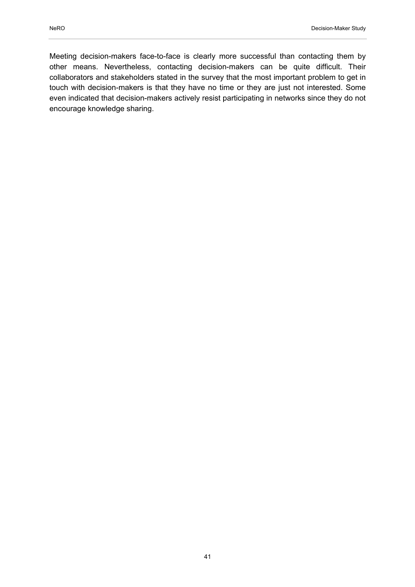Meeting decision-makers face-to-face is clearly more successful than contacting them by other means. Nevertheless, contacting decision-makers can be quite difficult. Their collaborators and stakeholders stated in the survey that the most important problem to get in touch with decision-makers is that they have no time or they are just not interested. Some even indicated that decision-makers actively resist participating in networks since they do not encourage knowledge sharing.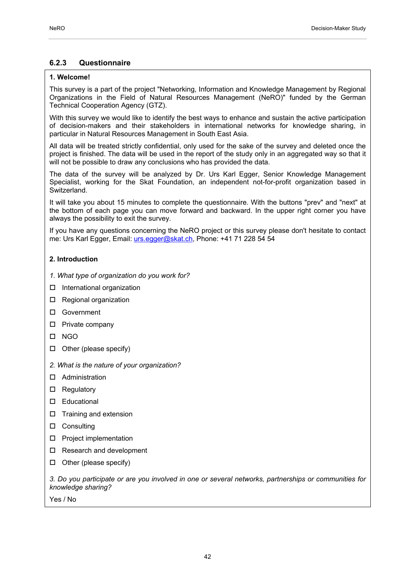### **6.2.3 Questionnaire**

#### **1. Welcome!**

This survey is a part of the project "Networking, Information and Knowledge Management by Regional Organizations in the Field of Natural Resources Management (NeRO)" funded by the German Technical Cooperation Agency (GTZ).

With this survey we would like to identify the best ways to enhance and sustain the active participation of decision-makers and their stakeholders in international networks for knowledge sharing, in particular in Natural Resources Management in South East Asia.

All data will be treated strictly confidential, only used for the sake of the survey and deleted once the project is finished. The data will be used in the report of the study only in an aggregated way so that it will not be possible to draw any conclusions who has provided the data.

The data of the survey will be analyzed by Dr. Urs Karl Egger, Senior Knowledge Management Specialist, working for the Skat Foundation, an independent not-for-profit organization based in Switzerland.

It will take you about 15 minutes to complete the questionnaire. With the buttons "prev" and "next" at the bottom of each page you can move forward and backward. In the upper right corner you have always the possibility to exit the survey.

If you have any questions concerning the NeRO project or this survey please don't hesitate to contact me: Urs Karl Egger, Email: urs.egger@skat.ch, Phone: +41 71 228 54 54

#### **2. Introduction**

- *1. What type of organization do you work for?*
- □ International organization
- □ Regional organization
- □ Government
- $\square$  Private company
- NGO
- $\Box$  Other (please specify)
- *2. What is the nature of your organization?*
- Administration
- □ Regulatory
- Educational
- $\Box$  Training and extension
- □ Consulting
- □ Project implementation
- □ Research and development
- $\Box$  Other (please specify)

*3. Do you participate or are you involved in one or several networks, partnerships or communities for knowledge sharing?* 

Yes / No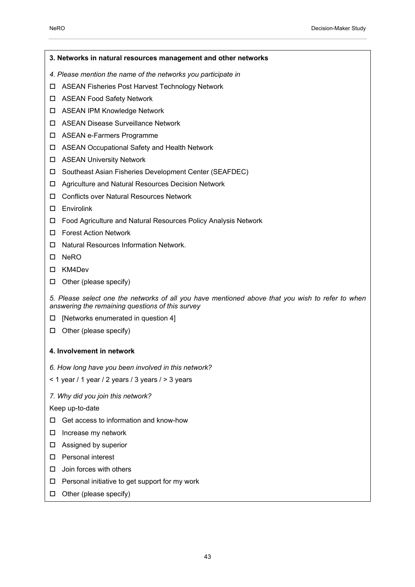**3. Networks in natural resources management and other networks**  *4. Please mention the name of the networks you participate in*  ASEAN Fisheries Post Harvest Technology Network □ ASEAN Food Safety Network ASEAN IPM Knowledge Network ASEAN Disease Surveillance Network ASEAN e-Farmers Programme ASEAN Occupational Safety and Health Network □ ASEAN University Network □ Southeast Asian Fisheries Development Center (SEAFDEC) Agriculture and Natural Resources Decision Network Conflicts over Natural Resources Network □ Envirolink Food Agriculture and Natural Resources Policy Analysis Network Forest Action Network □ Natural Resources Information Network.  $\Pi$  NeRO KM4Dev  $\Box$  Other (please specify) *5. Please select one the networks of all you have mentioned above that you wish to refer to when answering the remaining questions of this survey*   $\Box$  [Networks enumerated in question 4]  $\Box$  Other (please specify) **4. Involvement in network**  *6. How long have you been involved in this network?* 

 $<$  1 year / 1 year / 2 years / 3 years / > 3 years

*7. Why did you join this network?* 

Keep up-to-date

- $\Box$  Get access to information and know-how
- $\square$  Increase my network
- □ Assigned by superior
- □ Personal interest
- $\square$  Join forces with others
- $\square$  Personal initiative to get support for my work
- $\Box$  Other (please specify)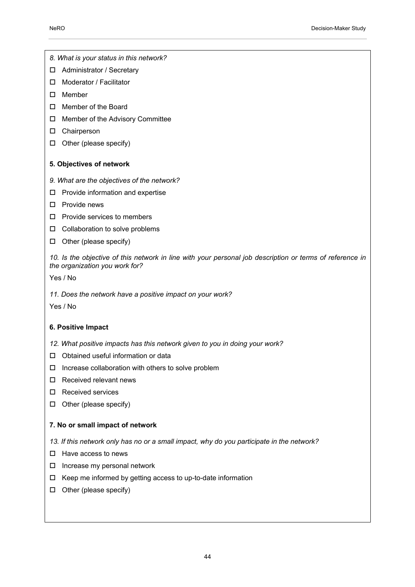*8. What is your status in this network?* 

- □ Administrator / Secretary
- □ Moderator / Facilitator
- $\square$  Member
- □ Member of the Board
- □ Member of the Advisory Committee
- □ Chairperson
- $\Box$  Other (please specify)
- **5. Objectives of network**
- *9. What are the objectives of the network?*
- $\Box$  Provide information and expertise
- $\Pi$  Provide news
- $\square$  Provide services to members
- $\Box$  Collaboration to solve problems
- $\Box$  Other (please specify)

*10. Is the objective of this network in line with your personal job description or terms of reference in the organization you work for?* 

Yes / No

*11. Does the network have a positive impact on your work?* 

Yes / No

#### **6. Positive Impact**

- *12. What positive impacts has this network given to you in doing your work?*
- □ Obtained useful information or data
- $\Box$  Increase collaboration with others to solve problem
- $\Box$  Received relevant news
- □ Received services
- $\Box$  Other (please specify)

#### **7. No or small impact of network**

*13. If this network only has no or a small impact, why do you participate in the network?* 

- $\Box$  Have access to news
- $\Box$  Increase my personal network
- $\Box$  Keep me informed by getting access to up-to-date information
- $\Box$  Other (please specify)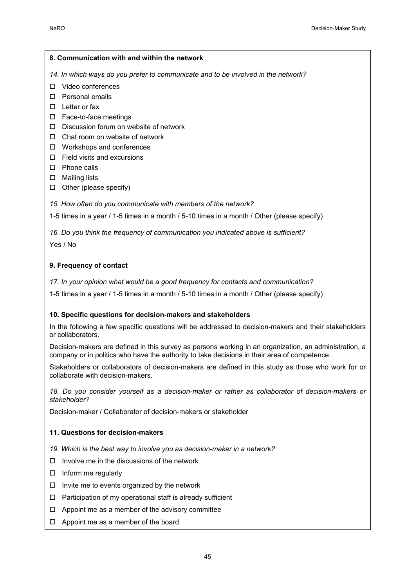#### **8. Communication with and within the network**

*14. In which ways do you prefer to communicate and to be involved in the network?* 

- Video conferences
- Personal emails
- $\square$  Letter or fax
- □ Face-to-face meetings
- D Discussion forum on website of network
- $\Box$  Chat room on website of network
- □ Workshops and conferences
- $\Box$  Field visits and excursions
- □ Phone calls
- □ Mailing lists
- $\Box$  Other (please specify)
- *15. How often do you communicate with members of the network?*

1-5 times in a year / 1-5 times in a month / 5-10 times in a month / Other (please specify)

*16. Do you think the frequency of communication you indicated above is sufficient?*  Yes / No

### **9. Frequency of contact**

*17. In your opinion what would be a good frequency for contacts and communication?* 

1-5 times in a year / 1-5 times in a month / 5-10 times in a month / Other (please specify)

#### **10. Specific questions for decision-makers and stakeholders**

In the following a few specific questions will be addressed to decision-makers and their stakeholders or collaborators.

Decision-makers are defined in this survey as persons working in an organization, an administration, a company or in politics who have the authority to take decisions in their area of competence.

Stakeholders or collaborators of decision-makers are defined in this study as those who work for or collaborate with decision-makers.

*18. Do you consider yourself as a decision-maker or rather as collaborator of decision-makers or stakeholder?* 

Decision-maker / Collaborator of decision-makers or stakeholder

#### **11. Questions for decision-makers**

- *19. Which is the best way to involve you as decision-maker in a network?*
- $\Box$  Involve me in the discussions of the network
- $\Box$  Inform me regularly
- $\Box$  Invite me to events organized by the network
- $\Box$  Participation of my operational staff is already sufficient
- $\Box$  Appoint me as a member of the advisory committee
- $\Box$  Appoint me as a member of the board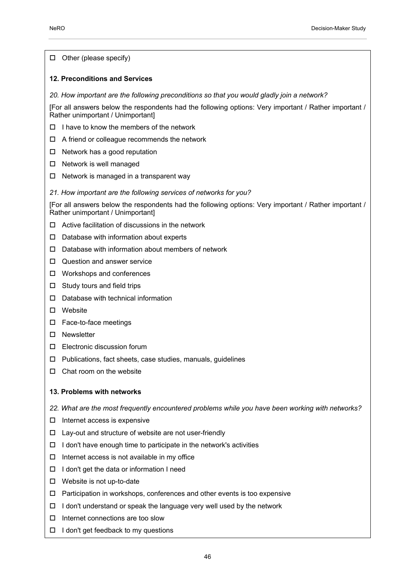| Other (please specify)<br>□                                                                                                                |  |
|--------------------------------------------------------------------------------------------------------------------------------------------|--|
| <b>12. Preconditions and Services</b>                                                                                                      |  |
| 20. How important are the following preconditions so that you would gladly join a network?                                                 |  |
| [For all answers below the respondents had the following options: Very important / Rather important /<br>Rather unimportant / Unimportant] |  |
| I have to know the members of the network<br>□                                                                                             |  |
| A friend or colleague recommends the network<br>□                                                                                          |  |
| Network has a good reputation<br>ப                                                                                                         |  |
| Network is well managed<br>ப                                                                                                               |  |
| Network is managed in a transparent way<br>ш                                                                                               |  |
| 21. How important are the following services of networks for you?                                                                          |  |
| [For all answers below the respondents had the following options: Very important / Rather important /<br>Rather unimportant / Unimportant] |  |
| Active facilitation of discussions in the network<br>□                                                                                     |  |
| Database with information about experts<br>ப                                                                                               |  |
| Database with information about members of network<br>□                                                                                    |  |
| Question and answer service<br>ப                                                                                                           |  |
| Workshops and conferences<br>⊔                                                                                                             |  |
| Study tours and field trips<br>ш                                                                                                           |  |
| Database with technical information<br>□                                                                                                   |  |
| Website<br>ப                                                                                                                               |  |
| Face-to-face meetings<br>□                                                                                                                 |  |
| Newsletter<br>ப                                                                                                                            |  |
| Electronic discussion forum<br>□                                                                                                           |  |
| □<br>Publications, fact sheets, case studies, manuals, guidelines                                                                          |  |
| Chat room on the website<br>ப                                                                                                              |  |
| 13. Problems with networks                                                                                                                 |  |
| 22. What are the most frequently encountered problems while you have been working with networks?                                           |  |
| Internet access is expensive<br>⊔                                                                                                          |  |
| Lay-out and structure of website are not user-friendly<br>ш                                                                                |  |
| I don't have enough time to participate in the network's activities<br>⊔                                                                   |  |
| Internet access is not available in my office<br>⊔                                                                                         |  |
| I don't get the data or information I need<br>⊔                                                                                            |  |
| Website is not up-to-date<br>⊔                                                                                                             |  |
| Participation in workshops, conferences and other events is too expensive<br>⊔                                                             |  |
| I don't understand or speak the language very well used by the network<br>⊔                                                                |  |
| Internet connections are too slow<br>□                                                                                                     |  |
| I don't get feedback to my questions<br>ப                                                                                                  |  |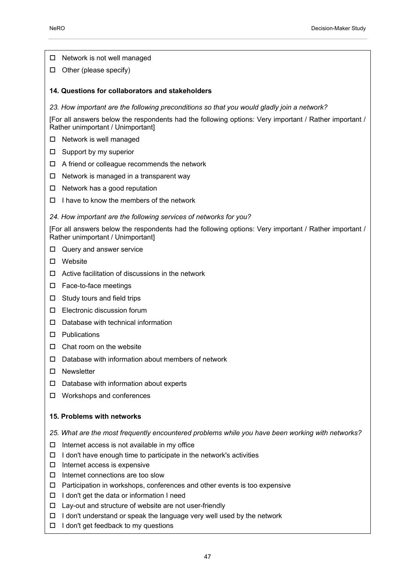$\Box$  Network is not well managed

 $\Box$  Other (please specify)

#### **14. Questions for collaborators and stakeholders**

*23. How important are the following preconditions so that you would gladly join a network?* 

[For all answers below the respondents had the following options: Very important / Rather important / Rather unimportant / Unimportant]

- $\Box$  Network is well managed
- $\square$  Support by my superior
- $\Box$  A friend or colleague recommends the network
- $\Box$  Network is managed in a transparent way
- $\Box$  Network has a good reputation
- $\Box$  I have to know the members of the network

#### *24. How important are the following services of networks for you?*

[For all answers below the respondents had the following options: Very important / Rather important / Rather unimportant / Unimportant]

- Query and answer service
- Website
- $\Box$  Active facilitation of discussions in the network
- □ Face-to-face meetings
- $\Box$  Study tours and field trips
- □ Electronic discussion forum
- $\Box$  Database with technical information
- Publications
- $\Box$  Chat room on the website
- $\Box$  Database with information about members of network
- □ Newsletter
- $\Box$  Database with information about experts
- Workshops and conferences

#### **15. Problems with networks**

- *25. What are the most frequently encountered problems while you have been working with networks?*
- $\Box$  Internet access is not available in my office
- $\Box$  I don't have enough time to participate in the network's activities
- $\Box$  Internet access is expensive
- $\Box$  Internet connections are too slow
- $\Box$  Participation in workshops, conferences and other events is too expensive
- $\Box$  I don't get the data or information I need
- $\Box$  Lay-out and structure of website are not user-friendly
- $\Box$  I don't understand or speak the language very well used by the network
- $\Box$  I don't get feedback to my questions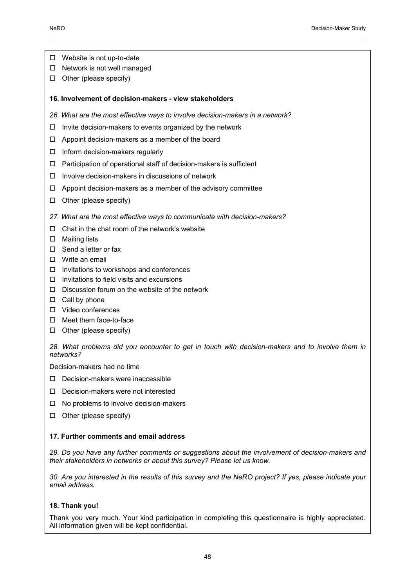- Website is not up-to-date
- $\Box$  Network is not well managed
- $\Box$  Other (please specify)
- **16. Involvement of decision-makers view stakeholders**
- *26. What are the most effective ways to involve decision-makers in a network?*
- $\Box$  Invite decision-makers to events organized by the network
- $\Box$  Appoint decision-makers as a member of the board
- $\Box$  Inform decision-makers regularly
- $\Box$  Participation of operational staff of decision-makers is sufficient
- $\Box$  Involve decision-makers in discussions of network
- $\Box$  Appoint decision-makers as a member of the advisory committee
- $\Box$  Other (please specify)
- *27. What are the most effective ways to communicate with decision-makers?*
- $\Box$  Chat in the chat room of the network's website
- $\square$  Mailing lists
- □ Send a letter or fax
- D Write an email
- $\Box$  Invitations to workshops and conferences
- $\Box$  Invitations to field visits and excursions
- $\square$  Discussion forum on the website of the network
- $\Box$  Call by phone
- Video conferences
- □ Meet them face-to-face
- $\Box$  Other (please specify)

*28. What problems did you encounter to get in touch with decision-makers and to involve them in networks?* 

Decision-makers had no time

- $\square$  Decision-makers were inaccessible
- D Decision-makers were not interested
- $\Box$  No problems to involve decision-makers
- $\Box$  Other (please specify)

#### **17. Further comments and email address**

29. Do you have any further comments or suggestions about the involvement of decision-makers and *their stakeholders in networks or about this survey? Please let us know.* 

*30. Are you interested in the results of this survey and the NeRO project? If yes, please indicate your email address.* 

#### **18. Thank you!**

Thank you very much. Your kind participation in completing this questionnaire is highly appreciated. All information given will be kept confidential.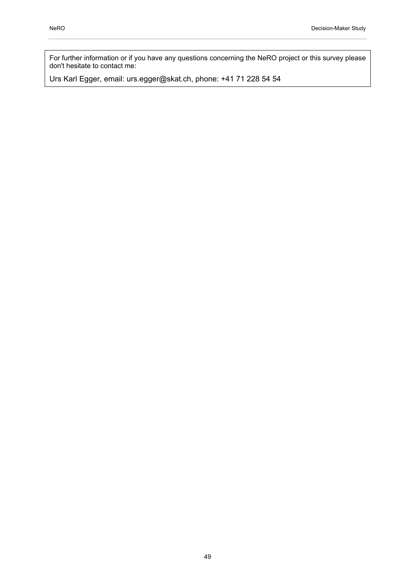For further information or if you have any questions concerning the NeRO project or this survey please don't hesitate to contact me:

Urs Karl Egger, email: urs.egger@skat.ch, phone: +41 71 228 54 54